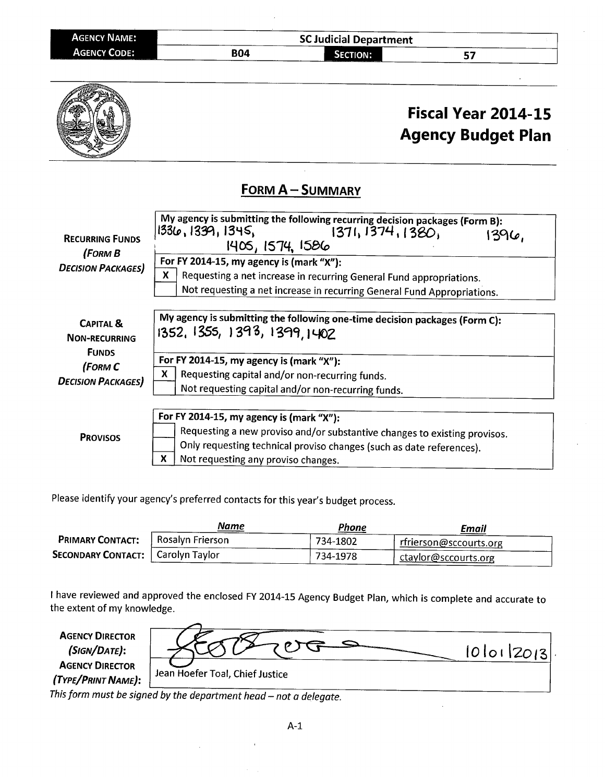| <b>AGENCY NAME:</b>                                        |            | <b>SC Judicial Department</b>                                                                                                                                                                                                                     |    |  |
|------------------------------------------------------------|------------|---------------------------------------------------------------------------------------------------------------------------------------------------------------------------------------------------------------------------------------------------|----|--|
| <b>AGENCY CODE:</b><br><b>COLUMN 2 CONTRACTORY COMPANY</b> | <b>B04</b> | <b>SECTION:</b><br>THE RESIDENCE OF A REPORT OF A RESIDENCE OF A RESIDENCE OF A RESIDENCE OF A RESIDENCE OF A RESIDENCE OF A RESIDENCE OF A RESIDENCE OF A RESIDENCE OF A RESIDENCE OF A RESIDENCE OF A RESIDENCE OF A RESIDENCE OF A RESIDENCE O | -- |  |



Please identify your agency's preferred contacts for this year's budget process.

|                           | Name             | Phone    | Email                            |
|---------------------------|------------------|----------|----------------------------------|
| <b>PRIMARY CONTACT:</b>   | Rosalyn Frierson | 734-1802 | r rf <u>rierson@sccourts.org</u> |
| <b>SECONDARY CONTACT:</b> | Carolyn Taylor   | 734-1978 | ctaylor@sccourts.org             |

I have reviewed and approved the enclosed FY 2014-15 Agency Budget Plan, which is complete and accurate to the extent of my knowledge.

**AGENCY DIRECTOR** (SIGN/DATE): **AGENCY DIRECTOR** (TYPE/PRINT NAME):

|                                 | $ 0 0 $ $ 20 3 $ . |
|---------------------------------|--------------------|
| Jean Hoefer Toal, Chief Justice |                    |

This form must be signed by the department head - not a delegate.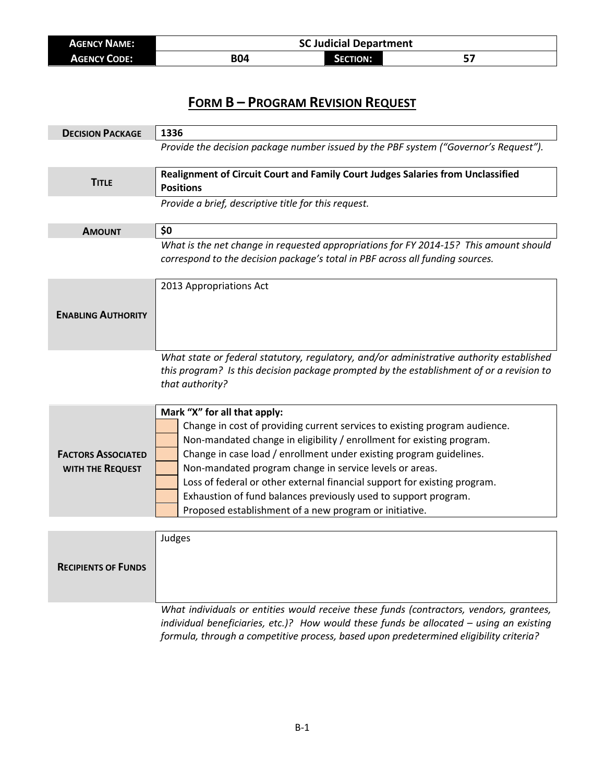| <b>AGENCY NAME:</b> | <b>SC Judicial Department</b> |                 |   |
|---------------------|-------------------------------|-----------------|---|
| <b>AGENCY CODE:</b> | <b>B04</b>                    | <b>SECTION:</b> | - |

| <b>DECISION PACKAGE</b>                       | 1336                                                                                                                                                                                                                                                                                                                                                                                                                                                                                                                            |
|-----------------------------------------------|---------------------------------------------------------------------------------------------------------------------------------------------------------------------------------------------------------------------------------------------------------------------------------------------------------------------------------------------------------------------------------------------------------------------------------------------------------------------------------------------------------------------------------|
|                                               | Provide the decision package number issued by the PBF system ("Governor's Request").                                                                                                                                                                                                                                                                                                                                                                                                                                            |
| <b>TITLE</b>                                  | Realignment of Circuit Court and Family Court Judges Salaries from Unclassified<br><b>Positions</b>                                                                                                                                                                                                                                                                                                                                                                                                                             |
|                                               | Provide a brief, descriptive title for this request.                                                                                                                                                                                                                                                                                                                                                                                                                                                                            |
| <b>AMOUNT</b>                                 | \$0                                                                                                                                                                                                                                                                                                                                                                                                                                                                                                                             |
|                                               | What is the net change in requested appropriations for FY 2014-15? This amount should<br>correspond to the decision package's total in PBF across all funding sources.                                                                                                                                                                                                                                                                                                                                                          |
|                                               | 2013 Appropriations Act                                                                                                                                                                                                                                                                                                                                                                                                                                                                                                         |
| <b>ENABLING AUTHORITY</b>                     |                                                                                                                                                                                                                                                                                                                                                                                                                                                                                                                                 |
|                                               | What state or federal statutory, regulatory, and/or administrative authority established<br>this program? Is this decision package prompted by the establishment of or a revision to<br>that authority?                                                                                                                                                                                                                                                                                                                         |
| <b>FACTORS ASSOCIATED</b><br>WITH THE REQUEST | Mark "X" for all that apply:<br>Change in cost of providing current services to existing program audience.<br>Non-mandated change in eligibility / enrollment for existing program.<br>Change in case load / enrollment under existing program guidelines.<br>Non-mandated program change in service levels or areas.<br>Loss of federal or other external financial support for existing program.<br>Exhaustion of fund balances previously used to support program.<br>Proposed establishment of a new program or initiative. |
|                                               |                                                                                                                                                                                                                                                                                                                                                                                                                                                                                                                                 |
| <b>RECIPIENTS OF FUNDS</b>                    | Judges                                                                                                                                                                                                                                                                                                                                                                                                                                                                                                                          |
|                                               | What individuals or entities would receive these funds (contractors, vendors, grantees,                                                                                                                                                                                                                                                                                                                                                                                                                                         |

*individual beneficiaries, etc.)? How would these funds be allocated – using an existing formula, through a competitive process, based upon predetermined eligibility criteria?*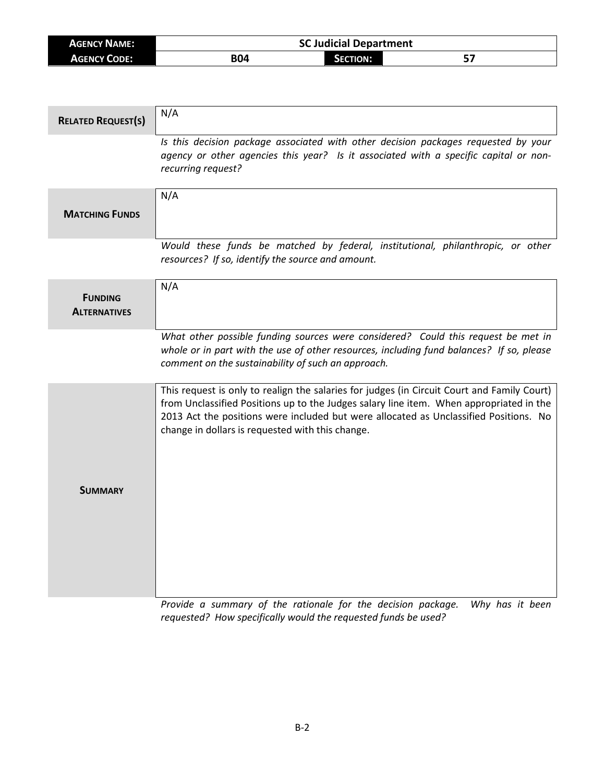| <b>AGENCY NAME:</b> | <b>SC Judicial Department</b> |          |    |
|---------------------|-------------------------------|----------|----|
| <b>AGENCY CODE:</b> | <b>B04</b>                    | SECTION: | е5 |

| <b>RELATED REQUEST(S)</b>             | N/A                                                                                                                                                                                                                                                                                                                                 |
|---------------------------------------|-------------------------------------------------------------------------------------------------------------------------------------------------------------------------------------------------------------------------------------------------------------------------------------------------------------------------------------|
|                                       | Is this decision package associated with other decision packages requested by your<br>agency or other agencies this year? Is it associated with a specific capital or non-<br>recurring request?                                                                                                                                    |
| <b>MATCHING FUNDS</b>                 | N/A                                                                                                                                                                                                                                                                                                                                 |
|                                       | Would these funds be matched by federal, institutional, philanthropic, or other<br>resources? If so, identify the source and amount.                                                                                                                                                                                                |
| <b>FUNDING</b><br><b>ALTERNATIVES</b> | N/A                                                                                                                                                                                                                                                                                                                                 |
|                                       | What other possible funding sources were considered? Could this request be met in<br>whole or in part with the use of other resources, including fund balances? If so, please<br>comment on the sustainability of such an approach.                                                                                                 |
|                                       | This request is only to realign the salaries for judges (in Circuit Court and Family Court)<br>from Unclassified Positions up to the Judges salary line item. When appropriated in the<br>2013 Act the positions were included but were allocated as Unclassified Positions. No<br>change in dollars is requested with this change. |
| <b>SUMMARY</b>                        |                                                                                                                                                                                                                                                                                                                                     |

*Provide a summary of the rationale for the decision package. Why has it been requested? How specifically would the requested funds be used?*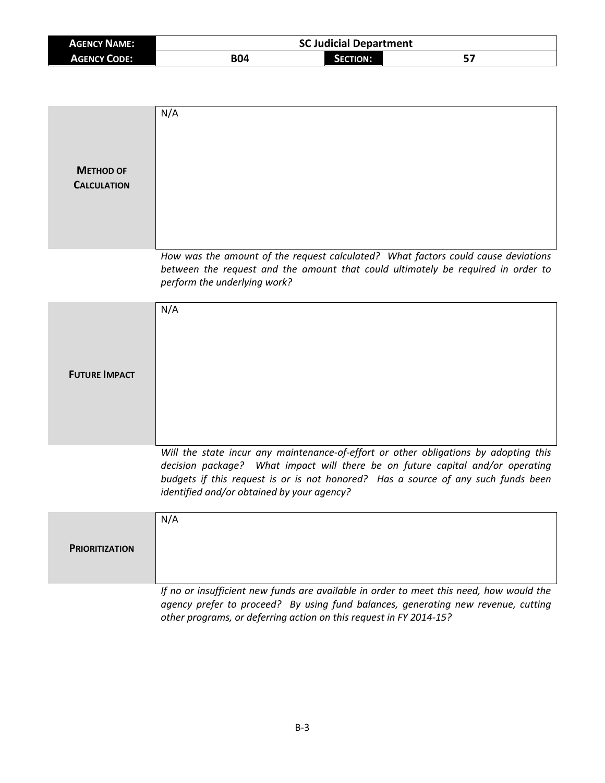| <b>AGENCY NAME:</b> | <b>SC Judicial Department</b> |          |           |
|---------------------|-------------------------------|----------|-----------|
| <b>AGENCY CODE:</b> | B04                           | SECTION: | --<br>ر ت |

| <b>METHOD OF</b><br><b>CALCULATION</b> | N/A                                                                                                                                                                                                                                                                                                       |
|----------------------------------------|-----------------------------------------------------------------------------------------------------------------------------------------------------------------------------------------------------------------------------------------------------------------------------------------------------------|
|                                        | How was the amount of the request calculated? What factors could cause deviations<br>between the request and the amount that could ultimately be required in order to<br>perform the underlying work?                                                                                                     |
| <b>FUTURE IMPACT</b>                   | N/A                                                                                                                                                                                                                                                                                                       |
|                                        | Will the state incur any maintenance-of-effort or other obligations by adopting this<br>decision package? What impact will there be on future capital and/or operating<br>budgets if this request is or is not honored? Has a source of any such funds been<br>identified and/or obtained by your agency? |
| <b>PRIORITIZATION</b>                  | N/A                                                                                                                                                                                                                                                                                                       |
|                                        | If no or insufficient new funds are available in order to meet this need, how would the<br>agency prefer to proceed? By using fund balances, generating new revenue, cutting<br>other programs, or deferring action on this request in FY 2014-15?                                                        |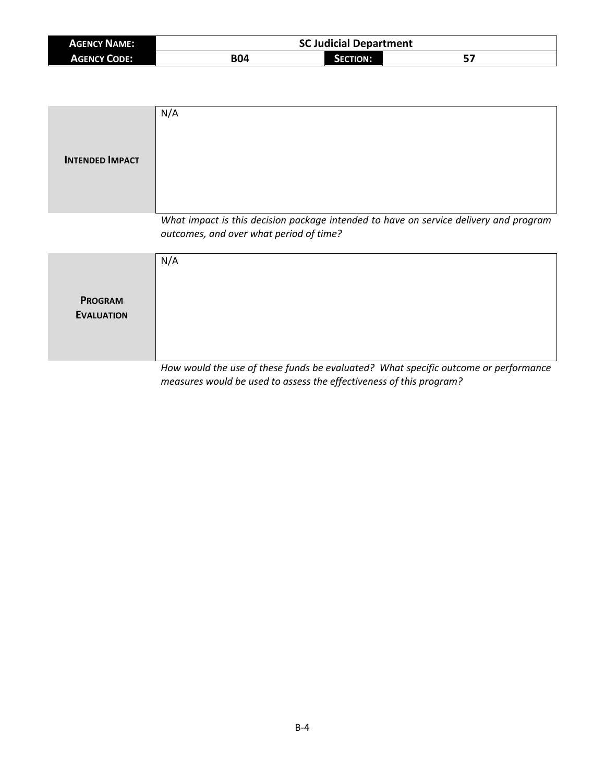| <b>AGENCY NAME:</b> | <b>SC Judicial Department</b> |                 |           |
|---------------------|-------------------------------|-----------------|-----------|
| <b>AGENCY CODE:</b> | <b>B04</b>                    | <b>SECTION:</b> | г.<br>, כ |

| <b>INTENDED IMPACT</b>              | N/A                                                                                                                              |
|-------------------------------------|----------------------------------------------------------------------------------------------------------------------------------|
|                                     | What impact is this decision package intended to have on service delivery and program<br>outcomes, and over what period of time? |
| <b>PROGRAM</b><br><b>EVALUATION</b> | N/A                                                                                                                              |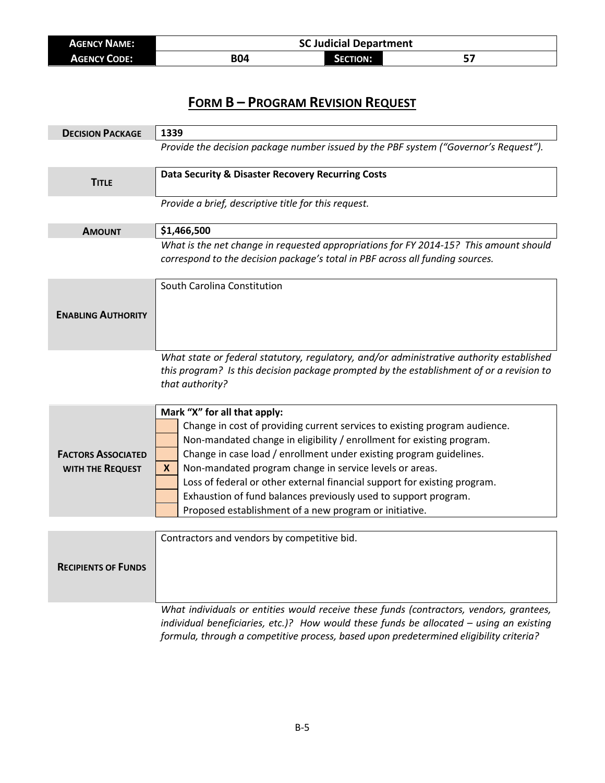| <b>AGENCY NAME:</b> | <b>SC Judicial Department</b> |                 |  |
|---------------------|-------------------------------|-----------------|--|
| <b>AGENCY CODE:</b> | B04                           | <b>SECTION:</b> |  |

| <b>DECISION PACKAGE</b>                       | 1339                                                                                                                                                                                                                                                                                                                                                                                                                                                                                                                                 |
|-----------------------------------------------|--------------------------------------------------------------------------------------------------------------------------------------------------------------------------------------------------------------------------------------------------------------------------------------------------------------------------------------------------------------------------------------------------------------------------------------------------------------------------------------------------------------------------------------|
|                                               | Provide the decision package number issued by the PBF system ("Governor's Request").                                                                                                                                                                                                                                                                                                                                                                                                                                                 |
| <b>TITLE</b>                                  | Data Security & Disaster Recovery Recurring Costs                                                                                                                                                                                                                                                                                                                                                                                                                                                                                    |
|                                               | Provide a brief, descriptive title for this request.                                                                                                                                                                                                                                                                                                                                                                                                                                                                                 |
| <b>AMOUNT</b>                                 | \$1,466,500                                                                                                                                                                                                                                                                                                                                                                                                                                                                                                                          |
|                                               | What is the net change in requested appropriations for FY 2014-15? This amount should<br>correspond to the decision package's total in PBF across all funding sources.                                                                                                                                                                                                                                                                                                                                                               |
|                                               | South Carolina Constitution                                                                                                                                                                                                                                                                                                                                                                                                                                                                                                          |
| <b>ENABLING AUTHORITY</b>                     |                                                                                                                                                                                                                                                                                                                                                                                                                                                                                                                                      |
|                                               | What state or federal statutory, regulatory, and/or administrative authority established<br>this program? Is this decision package prompted by the establishment of or a revision to<br>that authority?                                                                                                                                                                                                                                                                                                                              |
| <b>FACTORS ASSOCIATED</b><br>WITH THE REQUEST | Mark "X" for all that apply:<br>Change in cost of providing current services to existing program audience.<br>Non-mandated change in eligibility / enrollment for existing program.<br>Change in case load / enrollment under existing program guidelines.<br>Non-mandated program change in service levels or areas.<br>X<br>Loss of federal or other external financial support for existing program.<br>Exhaustion of fund balances previously used to support program.<br>Proposed establishment of a new program or initiative. |
|                                               |                                                                                                                                                                                                                                                                                                                                                                                                                                                                                                                                      |
| <b>RECIPIENTS OF FUNDS</b>                    | Contractors and vendors by competitive bid.                                                                                                                                                                                                                                                                                                                                                                                                                                                                                          |
|                                               | What individuals or entities would receive these funds (contractors, vendors, grantees,<br>individual beneficiaries, etc.)? How would these funds be allocated - using an existing                                                                                                                                                                                                                                                                                                                                                   |

B-5

*formula, through a competitive process, based upon predetermined eligibility criteria?*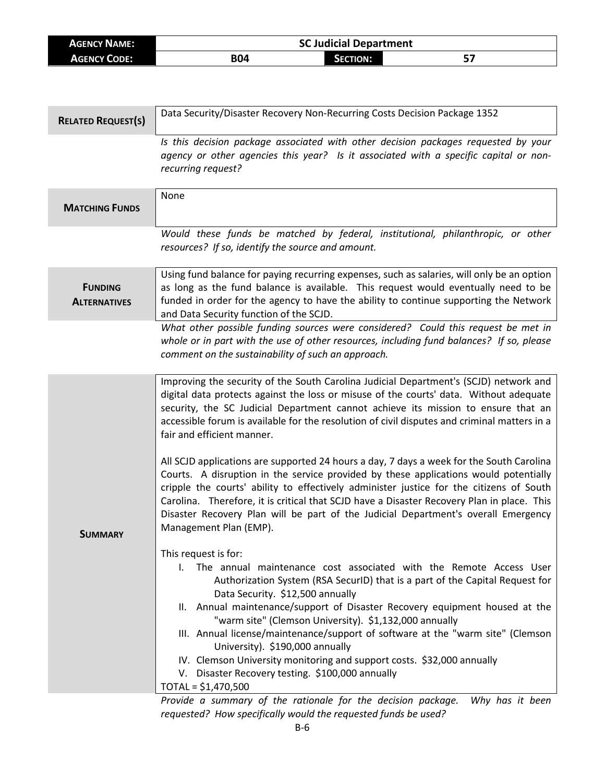| <b>AGENCY NAME:</b> | <b>SC Judicial Department</b> |                 |     |  |
|---------------------|-------------------------------|-----------------|-----|--|
| <b>AGENCY CODE:</b> | <b>B04</b>                    | <b>SECTION:</b> | ، ت |  |

| <b>RELATED REQUEST(S)</b>             | Data Security/Disaster Recovery Non-Recurring Costs Decision Package 1352                                                                                                                                                                                                                                                                                                                                                                                                                                                                                                                                                                                                                                                                                                                                                                                                                                                                                                                                                                                                                     |
|---------------------------------------|-----------------------------------------------------------------------------------------------------------------------------------------------------------------------------------------------------------------------------------------------------------------------------------------------------------------------------------------------------------------------------------------------------------------------------------------------------------------------------------------------------------------------------------------------------------------------------------------------------------------------------------------------------------------------------------------------------------------------------------------------------------------------------------------------------------------------------------------------------------------------------------------------------------------------------------------------------------------------------------------------------------------------------------------------------------------------------------------------|
|                                       | Is this decision package associated with other decision packages requested by your<br>agency or other agencies this year? Is it associated with a specific capital or non-<br>recurring request?                                                                                                                                                                                                                                                                                                                                                                                                                                                                                                                                                                                                                                                                                                                                                                                                                                                                                              |
| <b>MATCHING FUNDS</b>                 | None                                                                                                                                                                                                                                                                                                                                                                                                                                                                                                                                                                                                                                                                                                                                                                                                                                                                                                                                                                                                                                                                                          |
|                                       | Would these funds be matched by federal, institutional, philanthropic, or other<br>resources? If so, identify the source and amount.                                                                                                                                                                                                                                                                                                                                                                                                                                                                                                                                                                                                                                                                                                                                                                                                                                                                                                                                                          |
| <b>FUNDING</b><br><b>ALTERNATIVES</b> | Using fund balance for paying recurring expenses, such as salaries, will only be an option<br>as long as the fund balance is available. This request would eventually need to be<br>funded in order for the agency to have the ability to continue supporting the Network<br>and Data Security function of the SCJD.                                                                                                                                                                                                                                                                                                                                                                                                                                                                                                                                                                                                                                                                                                                                                                          |
|                                       | What other possible funding sources were considered? Could this request be met in<br>whole or in part with the use of other resources, including fund balances? If so, please<br>comment on the sustainability of such an approach.                                                                                                                                                                                                                                                                                                                                                                                                                                                                                                                                                                                                                                                                                                                                                                                                                                                           |
| <b>SUMMARY</b>                        | Improving the security of the South Carolina Judicial Department's (SCJD) network and<br>digital data protects against the loss or misuse of the courts' data. Without adequate<br>security, the SC Judicial Department cannot achieve its mission to ensure that an<br>accessible forum is available for the resolution of civil disputes and criminal matters in a<br>fair and efficient manner.<br>All SCJD applications are supported 24 hours a day, 7 days a week for the South Carolina<br>Courts. A disruption in the service provided by these applications would potentially<br>cripple the courts' ability to effectively administer justice for the citizens of South<br>Carolina. Therefore, it is critical that SCJD have a Disaster Recovery Plan in place. This<br>Disaster Recovery Plan will be part of the Judicial Department's overall Emergency<br>Management Plan (EMP).<br>This request is for:<br>The annual maintenance cost associated with the Remote Access User<br>$\mathbf{L}$<br>Authorization System (RSA SecurID) that is a part of the Capital Request for |
|                                       | Data Security. \$12,500 annually<br>II. Annual maintenance/support of Disaster Recovery equipment housed at the<br>"warm site" (Clemson University). \$1,132,000 annually<br>III. Annual license/maintenance/support of software at the "warm site" (Clemson<br>University). \$190,000 annually<br>IV. Clemson University monitoring and support costs. \$32,000 annually<br>V. Disaster Recovery testing. \$100,000 annually<br>TOTAL = \$1,470,500<br>Brough a summary of the rationale for the decision naskage. Why has it he                                                                                                                                                                                                                                                                                                                                                                                                                                                                                                                                                             |

*Provide a summary of the rationale for the decision package. Why has it been requested? How specifically would the requested funds be used?*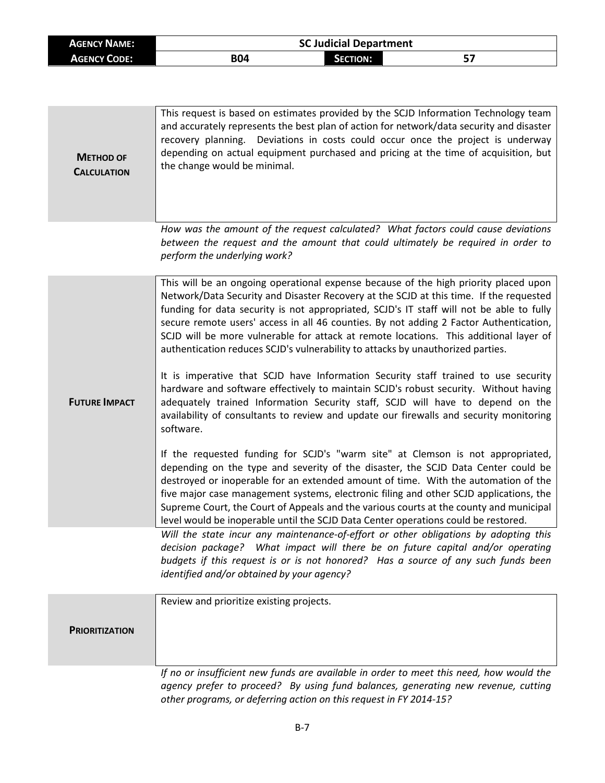| <b>AGENCY NAME:</b> |            | <b>SC Judicial Department</b> |  |
|---------------------|------------|-------------------------------|--|
| <b>AGENCY CODE:</b> | <b>B04</b> | <b>SECTION:</b>               |  |

| <b>METHOD OF</b><br><b>CALCULATION</b> | This request is based on estimates provided by the SCJD Information Technology team<br>and accurately represents the best plan of action for network/data security and disaster<br>recovery planning. Deviations in costs could occur once the project is underway<br>depending on actual equipment purchased and pricing at the time of acquisition, but<br>the change would be minimal.                                                                                                                                                                                                                                                                                                                                                                                                                                                                                                                                                                                                                                                                                                                                                                                                                                                                                                                                                                                                                                                                       |
|----------------------------------------|-----------------------------------------------------------------------------------------------------------------------------------------------------------------------------------------------------------------------------------------------------------------------------------------------------------------------------------------------------------------------------------------------------------------------------------------------------------------------------------------------------------------------------------------------------------------------------------------------------------------------------------------------------------------------------------------------------------------------------------------------------------------------------------------------------------------------------------------------------------------------------------------------------------------------------------------------------------------------------------------------------------------------------------------------------------------------------------------------------------------------------------------------------------------------------------------------------------------------------------------------------------------------------------------------------------------------------------------------------------------------------------------------------------------------------------------------------------------|
|                                        | How was the amount of the request calculated? What factors could cause deviations<br>between the request and the amount that could ultimately be required in order to<br>perform the underlying work?                                                                                                                                                                                                                                                                                                                                                                                                                                                                                                                                                                                                                                                                                                                                                                                                                                                                                                                                                                                                                                                                                                                                                                                                                                                           |
| <b>FUTURE IMPACT</b>                   | This will be an ongoing operational expense because of the high priority placed upon<br>Network/Data Security and Disaster Recovery at the SCJD at this time. If the requested<br>funding for data security is not appropriated, SCJD's IT staff will not be able to fully<br>secure remote users' access in all 46 counties. By not adding 2 Factor Authentication,<br>SCJD will be more vulnerable for attack at remote locations. This additional layer of<br>authentication reduces SCJD's vulnerability to attacks by unauthorized parties.<br>It is imperative that SCJD have Information Security staff trained to use security<br>hardware and software effectively to maintain SCJD's robust security. Without having<br>adequately trained Information Security staff, SCJD will have to depend on the<br>availability of consultants to review and update our firewalls and security monitoring<br>software.<br>If the requested funding for SCJD's "warm site" at Clemson is not appropriated,<br>depending on the type and severity of the disaster, the SCJD Data Center could be<br>destroyed or inoperable for an extended amount of time. With the automation of the<br>five major case management systems, electronic filing and other SCJD applications, the<br>Supreme Court, the Court of Appeals and the various courts at the county and municipal<br>level would be inoperable until the SCJD Data Center operations could be restored. |
|                                        | Will the state incur any maintenance-of-effort or other obligations by adopting this<br>decision package? What impact will there be on future capital and/or operating<br>budgets if this request is or is not honored? Has a source of any such funds been<br>identified and/or obtained by your agency?                                                                                                                                                                                                                                                                                                                                                                                                                                                                                                                                                                                                                                                                                                                                                                                                                                                                                                                                                                                                                                                                                                                                                       |
| <b>PRIORITIZATION</b>                  | Review and prioritize existing projects.                                                                                                                                                                                                                                                                                                                                                                                                                                                                                                                                                                                                                                                                                                                                                                                                                                                                                                                                                                                                                                                                                                                                                                                                                                                                                                                                                                                                                        |
|                                        | If no or insufficient new funds are available in order to meet this need, how would the<br>agency prefer to proceed? By using fund balances, generating new revenue, cutting<br>other programs, or deferring action on this request in FY 2014-15?                                                                                                                                                                                                                                                                                                                                                                                                                                                                                                                                                                                                                                                                                                                                                                                                                                                                                                                                                                                                                                                                                                                                                                                                              |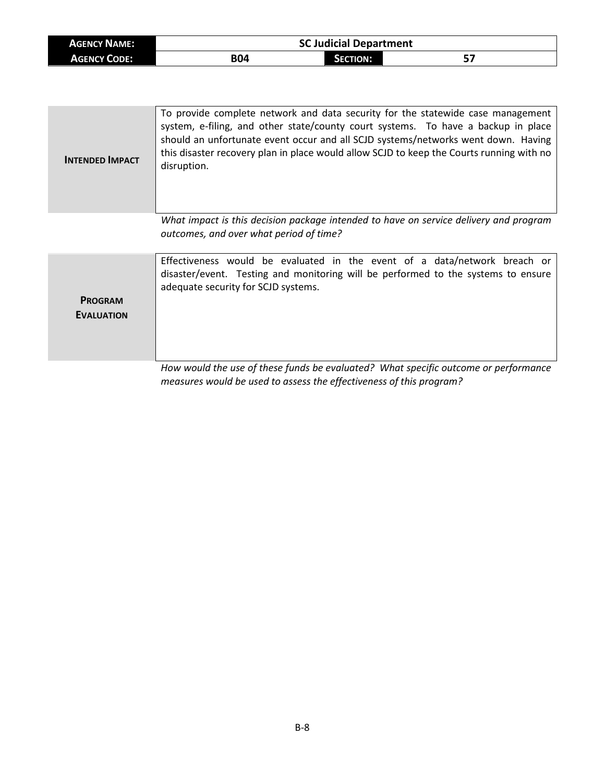| <b>AGENCY NAME:</b> |            | <b>SC Judicial Department</b> |  |
|---------------------|------------|-------------------------------|--|
| <b>AGENCY CODE:</b> | <b>B04</b> | Section:                      |  |

| <b>INTENDED IMPACT</b>              | To provide complete network and data security for the statewide case management<br>system, e-filing, and other state/county court systems. To have a backup in place<br>should an unfortunate event occur and all SCJD systems/networks went down. Having<br>this disaster recovery plan in place would allow SCJD to keep the Courts running with no<br>disruption. |
|-------------------------------------|----------------------------------------------------------------------------------------------------------------------------------------------------------------------------------------------------------------------------------------------------------------------------------------------------------------------------------------------------------------------|
|                                     | What impact is this decision package intended to have on service delivery and program<br>outcomes, and over what period of time?                                                                                                                                                                                                                                     |
| <b>PROGRAM</b><br><b>EVALUATION</b> | Effectiveness would be evaluated in the event of a data/network breach or<br>disaster/event. Testing and monitoring will be performed to the systems to ensure<br>adequate security for SCJD systems.<br>How would the use of these funds he evaluated? What specific outcome or performance                                                                         |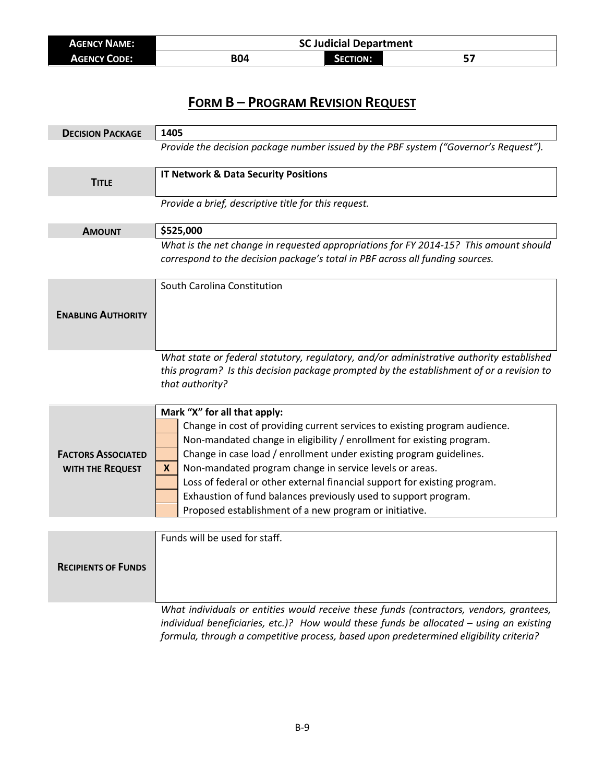| <b>AGENCY NAME:</b> | <b>SC Judicial Department</b> |                 |  |
|---------------------|-------------------------------|-----------------|--|
| <b>AGENCY CODE:</b> | B04                           | <b>SECTION:</b> |  |

| <b>DECISION PACKAGE</b>                       | 1405                                                                                                                                                                                                                                                                                                                                                                                                                                                                                                                                 |
|-----------------------------------------------|--------------------------------------------------------------------------------------------------------------------------------------------------------------------------------------------------------------------------------------------------------------------------------------------------------------------------------------------------------------------------------------------------------------------------------------------------------------------------------------------------------------------------------------|
|                                               | Provide the decision package number issued by the PBF system ("Governor's Request").                                                                                                                                                                                                                                                                                                                                                                                                                                                 |
| <b>TITLE</b>                                  | <b>IT Network &amp; Data Security Positions</b>                                                                                                                                                                                                                                                                                                                                                                                                                                                                                      |
|                                               | Provide a brief, descriptive title for this request.                                                                                                                                                                                                                                                                                                                                                                                                                                                                                 |
| <b>AMOUNT</b>                                 | \$525,000                                                                                                                                                                                                                                                                                                                                                                                                                                                                                                                            |
|                                               | What is the net change in requested appropriations for FY 2014-15? This amount should<br>correspond to the decision package's total in PBF across all funding sources.                                                                                                                                                                                                                                                                                                                                                               |
| <b>ENABLING AUTHORITY</b>                     | South Carolina Constitution                                                                                                                                                                                                                                                                                                                                                                                                                                                                                                          |
|                                               | What state or federal statutory, regulatory, and/or administrative authority established<br>this program? Is this decision package prompted by the establishment of or a revision to<br>that authority?                                                                                                                                                                                                                                                                                                                              |
| <b>FACTORS ASSOCIATED</b><br>WITH THE REQUEST | Mark "X" for all that apply:<br>Change in cost of providing current services to existing program audience.<br>Non-mandated change in eligibility / enrollment for existing program.<br>Change in case load / enrollment under existing program guidelines.<br>Non-mandated program change in service levels or areas.<br>X<br>Loss of federal or other external financial support for existing program.<br>Exhaustion of fund balances previously used to support program.<br>Proposed establishment of a new program or initiative. |
|                                               |                                                                                                                                                                                                                                                                                                                                                                                                                                                                                                                                      |
| <b>RECIPIENTS OF FUNDS</b>                    | Funds will be used for staff.                                                                                                                                                                                                                                                                                                                                                                                                                                                                                                        |
|                                               | What individuals or entities would receive these funds (contractors, vendors, grantees,                                                                                                                                                                                                                                                                                                                                                                                                                                              |

*individual beneficiaries, etc.)? How would these funds be allocated – using an existing formula, through a competitive process, based upon predetermined eligibility criteria?*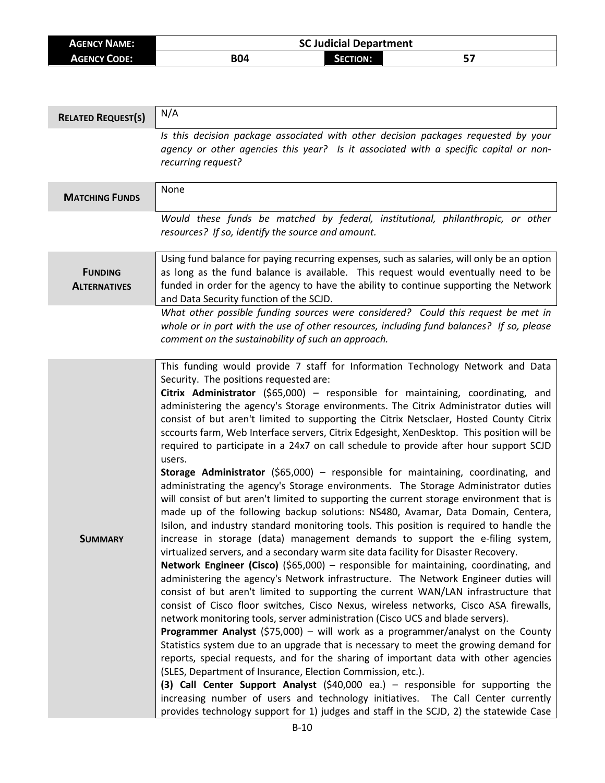| <b>AGENCY NAME:</b> | <b>SC Judicial Department</b> |          |  |
|---------------------|-------------------------------|----------|--|
| <b>AGENCY CODE:</b> | <b>B04</b>                    | Section: |  |

| <b>RELATED REQUEST(S)</b>             | N/A                                                                                                                                                                                                                                                                                                                                                                                                                                                                                                                                                                                                                                                                                                                                                                                                                                                                                                                                                                                                                                                                                                                                                                                                                                                                                                                                                                                                                                                                                                                                                                                                                                                                                                                                                                                                                                                                                                                                                                                                                                                                                                                                                                                                                                                                                             |
|---------------------------------------|-------------------------------------------------------------------------------------------------------------------------------------------------------------------------------------------------------------------------------------------------------------------------------------------------------------------------------------------------------------------------------------------------------------------------------------------------------------------------------------------------------------------------------------------------------------------------------------------------------------------------------------------------------------------------------------------------------------------------------------------------------------------------------------------------------------------------------------------------------------------------------------------------------------------------------------------------------------------------------------------------------------------------------------------------------------------------------------------------------------------------------------------------------------------------------------------------------------------------------------------------------------------------------------------------------------------------------------------------------------------------------------------------------------------------------------------------------------------------------------------------------------------------------------------------------------------------------------------------------------------------------------------------------------------------------------------------------------------------------------------------------------------------------------------------------------------------------------------------------------------------------------------------------------------------------------------------------------------------------------------------------------------------------------------------------------------------------------------------------------------------------------------------------------------------------------------------------------------------------------------------------------------------------------------------|
|                                       | Is this decision package associated with other decision packages requested by your<br>agency or other agencies this year? Is it associated with a specific capital or non-<br>recurring request?                                                                                                                                                                                                                                                                                                                                                                                                                                                                                                                                                                                                                                                                                                                                                                                                                                                                                                                                                                                                                                                                                                                                                                                                                                                                                                                                                                                                                                                                                                                                                                                                                                                                                                                                                                                                                                                                                                                                                                                                                                                                                                |
| <b>MATCHING FUNDS</b>                 | None                                                                                                                                                                                                                                                                                                                                                                                                                                                                                                                                                                                                                                                                                                                                                                                                                                                                                                                                                                                                                                                                                                                                                                                                                                                                                                                                                                                                                                                                                                                                                                                                                                                                                                                                                                                                                                                                                                                                                                                                                                                                                                                                                                                                                                                                                            |
|                                       | Would these funds be matched by federal, institutional, philanthropic, or other<br>resources? If so, identify the source and amount.                                                                                                                                                                                                                                                                                                                                                                                                                                                                                                                                                                                                                                                                                                                                                                                                                                                                                                                                                                                                                                                                                                                                                                                                                                                                                                                                                                                                                                                                                                                                                                                                                                                                                                                                                                                                                                                                                                                                                                                                                                                                                                                                                            |
| <b>FUNDING</b><br><b>ALTERNATIVES</b> | Using fund balance for paying recurring expenses, such as salaries, will only be an option<br>as long as the fund balance is available. This request would eventually need to be<br>funded in order for the agency to have the ability to continue supporting the Network<br>and Data Security function of the SCJD.                                                                                                                                                                                                                                                                                                                                                                                                                                                                                                                                                                                                                                                                                                                                                                                                                                                                                                                                                                                                                                                                                                                                                                                                                                                                                                                                                                                                                                                                                                                                                                                                                                                                                                                                                                                                                                                                                                                                                                            |
|                                       | What other possible funding sources were considered? Could this request be met in<br>whole or in part with the use of other resources, including fund balances? If so, please<br>comment on the sustainability of such an approach.                                                                                                                                                                                                                                                                                                                                                                                                                                                                                                                                                                                                                                                                                                                                                                                                                                                                                                                                                                                                                                                                                                                                                                                                                                                                                                                                                                                                                                                                                                                                                                                                                                                                                                                                                                                                                                                                                                                                                                                                                                                             |
| <b>SUMMARY</b>                        | This funding would provide 7 staff for Information Technology Network and Data<br>Security. The positions requested are:<br>Citrix Administrator (\$65,000) - responsible for maintaining, coordinating, and<br>administering the agency's Storage environments. The Citrix Administrator duties will<br>consist of but aren't limited to supporting the Citrix Netsclaer, Hosted County Citrix<br>sccourts farm, Web Interface servers, Citrix Edgesight, XenDesktop. This position will be<br>required to participate in a 24x7 on call schedule to provide after hour support SCJD<br>users.<br>Storage Administrator (\$65,000) - responsible for maintaining, coordinating, and<br>administrating the agency's Storage environments. The Storage Administrator duties<br>will consist of but aren't limited to supporting the current storage environment that is<br>made up of the following backup solutions: NS480, Avamar, Data Domain, Centera,<br>Isilon, and industry standard monitoring tools. This position is required to handle the<br>increase in storage (data) management demands to support the e-filing system,<br>virtualized servers, and a secondary warm site data facility for Disaster Recovery.<br><b>Network Engineer (Cisco)</b> (\$65,000) – responsible for maintaining, coordinating, and<br>administering the agency's Network infrastructure. The Network Engineer duties will<br>consist of but aren't limited to supporting the current WAN/LAN infrastructure that<br>consist of Cisco floor switches, Cisco Nexus, wireless networks, Cisco ASA firewalls,<br>network monitoring tools, server administration (Cisco UCS and blade servers).<br><b>Programmer Analyst</b> (\$75,000) – will work as a programmer/analyst on the County<br>Statistics system due to an upgrade that is necessary to meet the growing demand for<br>reports, special requests, and for the sharing of important data with other agencies<br>(SLES, Department of Insurance, Election Commission, etc.).<br>(3) Call Center Support Analyst $(540,000$ ea.) - responsible for supporting the<br>increasing number of users and technology initiatives. The Call Center currently<br>provides technology support for 1) judges and staff in the SCJD, 2) the statewide Case |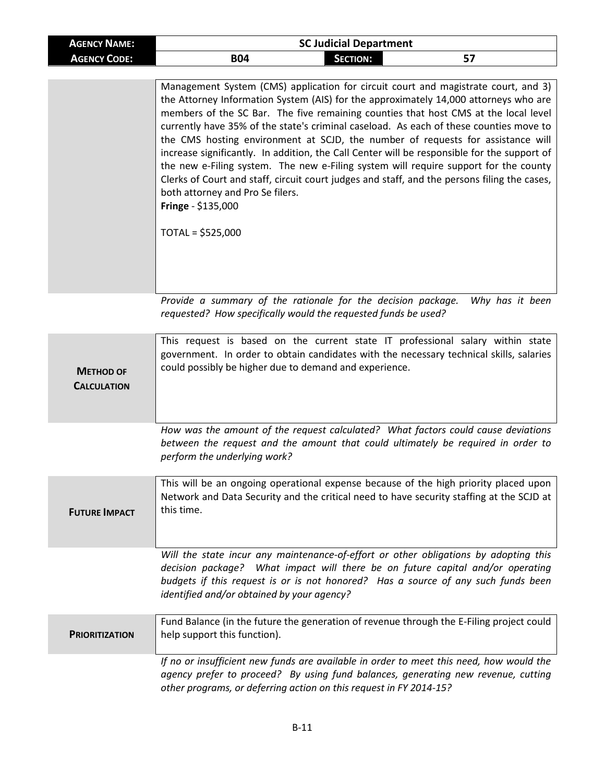| <b>AGENCY NAME:</b>                    | <b>SC Judicial Department</b>                                                                                                                                                                                                                                                                                                                                                                                                                                                                                                                                                                                                                                                                                                                                                                                         |
|----------------------------------------|-----------------------------------------------------------------------------------------------------------------------------------------------------------------------------------------------------------------------------------------------------------------------------------------------------------------------------------------------------------------------------------------------------------------------------------------------------------------------------------------------------------------------------------------------------------------------------------------------------------------------------------------------------------------------------------------------------------------------------------------------------------------------------------------------------------------------|
| <b>AGENCY CODE:</b>                    | <b>B04</b><br><b>SECTION:</b><br>57                                                                                                                                                                                                                                                                                                                                                                                                                                                                                                                                                                                                                                                                                                                                                                                   |
|                                        | Management System (CMS) application for circuit court and magistrate court, and 3)<br>the Attorney Information System (AIS) for the approximately 14,000 attorneys who are<br>members of the SC Bar. The five remaining counties that host CMS at the local level<br>currently have 35% of the state's criminal caseload. As each of these counties move to<br>the CMS hosting environment at SCJD, the number of requests for assistance will<br>increase significantly. In addition, the Call Center will be responsible for the support of<br>the new e-Filing system. The new e-Filing system will require support for the county<br>Clerks of Court and staff, circuit court judges and staff, and the persons filing the cases,<br>both attorney and Pro Se filers.<br>Fringe - \$135,000<br>$TOTAL = $525,000$ |
|                                        | Provide a summary of the rationale for the decision package.<br>Why has it been<br>requested? How specifically would the requested funds be used?                                                                                                                                                                                                                                                                                                                                                                                                                                                                                                                                                                                                                                                                     |
| <b>METHOD OF</b><br><b>CALCULATION</b> | This request is based on the current state IT professional salary within state<br>government. In order to obtain candidates with the necessary technical skills, salaries<br>could possibly be higher due to demand and experience.                                                                                                                                                                                                                                                                                                                                                                                                                                                                                                                                                                                   |
|                                        | How was the amount of the request calculated? What factors could cause deviations<br>between the request and the amount that could ultimately be required in order to<br>perform the underlying work?                                                                                                                                                                                                                                                                                                                                                                                                                                                                                                                                                                                                                 |
| <b>FUTURE IMPACT</b>                   | This will be an ongoing operational expense because of the high priority placed upon<br>Network and Data Security and the critical need to have security staffing at the SCJD at<br>this time.                                                                                                                                                                                                                                                                                                                                                                                                                                                                                                                                                                                                                        |
|                                        | Will the state incur any maintenance-of-effort or other obligations by adopting this<br>decision package? What impact will there be on future capital and/or operating                                                                                                                                                                                                                                                                                                                                                                                                                                                                                                                                                                                                                                                |

|                       | budgets if this request is or is not honored? Has a source of any such funds been<br><i>identified and/or obtained by your agency?</i> |  |
|-----------------------|----------------------------------------------------------------------------------------------------------------------------------------|--|
| <b>PRIORITIZATION</b> | Fund Balance (in the future the generation of revenue through the E-Filing project could<br>help support this function).               |  |

*If no or insufficient new funds are available in order to meet this need, how would the agency prefer to proceed? By using fund balances, generating new revenue, cutting other programs, or deferring action on this request in FY 2014-15?*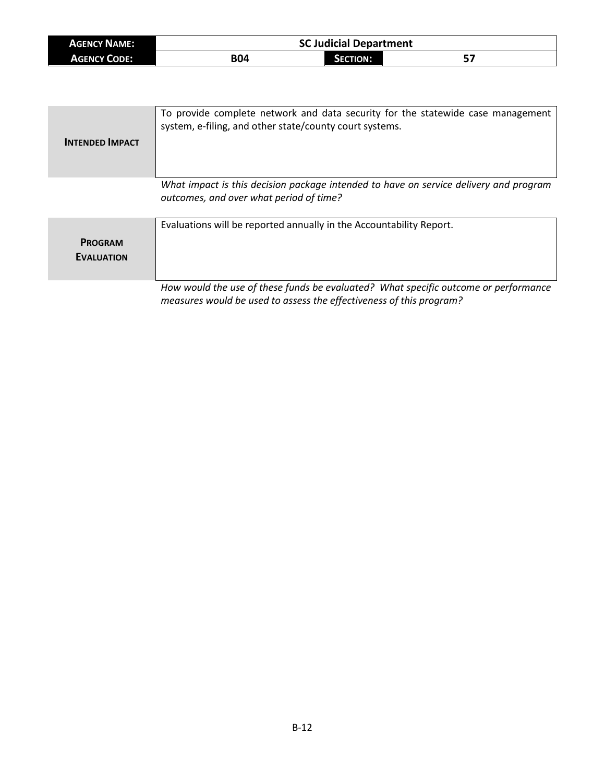| <b>AGENCY NAME:</b> | <b>SC Judicial Department</b> |                 |           |
|---------------------|-------------------------------|-----------------|-----------|
| <b>AGENCY CODE:</b> | <b>B04</b>                    | <b>SECTION:</b> | --<br>. ت |

| <b>INTENDED IMPACT</b>              | To provide complete network and data security for the statewide case management<br>system, e-filing, and other state/county court systems.                 |
|-------------------------------------|------------------------------------------------------------------------------------------------------------------------------------------------------------|
|                                     | What impact is this decision package intended to have on service delivery and program<br>outcomes, and over what period of time?                           |
| <b>PROGRAM</b><br><b>EVALUATION</b> | Evaluations will be reported annually in the Accountability Report.                                                                                        |
|                                     | How would the use of these funds be evaluated? What specific outcome or performance<br>measures would be used to assess the effectiveness of this program? |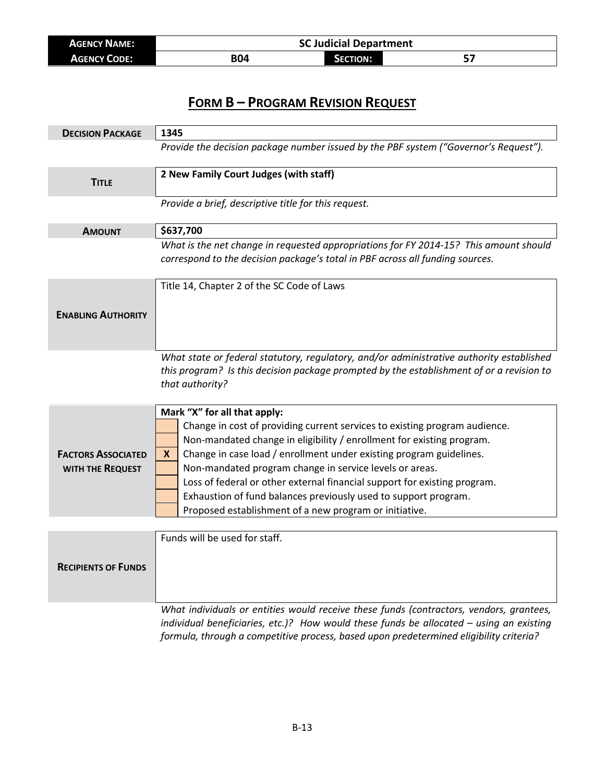| <b>AGENCY NAME:</b> | <b>SC Judicial Department</b> |                 |  |
|---------------------|-------------------------------|-----------------|--|
| <b>AGENCY CODE:</b> | B04                           | <b>SECTION:</b> |  |

| <b>DECISION PACKAGE</b>                       | 1345                                                                                                                                                                                                                                                                                                                                                                                                                                                                                                                                  |  |
|-----------------------------------------------|---------------------------------------------------------------------------------------------------------------------------------------------------------------------------------------------------------------------------------------------------------------------------------------------------------------------------------------------------------------------------------------------------------------------------------------------------------------------------------------------------------------------------------------|--|
|                                               | Provide the decision package number issued by the PBF system ("Governor's Request").                                                                                                                                                                                                                                                                                                                                                                                                                                                  |  |
| <b>TITLE</b>                                  | 2 New Family Court Judges (with staff)                                                                                                                                                                                                                                                                                                                                                                                                                                                                                                |  |
|                                               | Provide a brief, descriptive title for this request.                                                                                                                                                                                                                                                                                                                                                                                                                                                                                  |  |
| <b>AMOUNT</b>                                 | \$637,700                                                                                                                                                                                                                                                                                                                                                                                                                                                                                                                             |  |
|                                               | What is the net change in requested appropriations for FY 2014-15? This amount should<br>correspond to the decision package's total in PBF across all funding sources.                                                                                                                                                                                                                                                                                                                                                                |  |
|                                               | Title 14, Chapter 2 of the SC Code of Laws                                                                                                                                                                                                                                                                                                                                                                                                                                                                                            |  |
| <b>ENABLING AUTHORITY</b>                     |                                                                                                                                                                                                                                                                                                                                                                                                                                                                                                                                       |  |
|                                               | What state or federal statutory, regulatory, and/or administrative authority established<br>this program? Is this decision package prompted by the establishment of or a revision to<br>that authority?                                                                                                                                                                                                                                                                                                                               |  |
| <b>FACTORS ASSOCIATED</b><br>WITH THE REQUEST | Mark "X" for all that apply:<br>Change in cost of providing current services to existing program audience.<br>Non-mandated change in eligibility / enrollment for existing program.<br>Change in case load / enrollment under existing program guidelines.<br>X.<br>Non-mandated program change in service levels or areas.<br>Loss of federal or other external financial support for existing program.<br>Exhaustion of fund balances previously used to support program.<br>Proposed establishment of a new program or initiative. |  |
|                                               | Funds will be used for staff.                                                                                                                                                                                                                                                                                                                                                                                                                                                                                                         |  |
| <b>RECIPIENTS OF FUNDS</b>                    |                                                                                                                                                                                                                                                                                                                                                                                                                                                                                                                                       |  |
|                                               | What individuals or entities would receive these funds (contractors, vendors, grantees,<br>individual beneficiaries, etc.)? How would these funds be allocated - using an existing                                                                                                                                                                                                                                                                                                                                                    |  |

*formula, through a competitive process, based upon predetermined eligibility criteria?*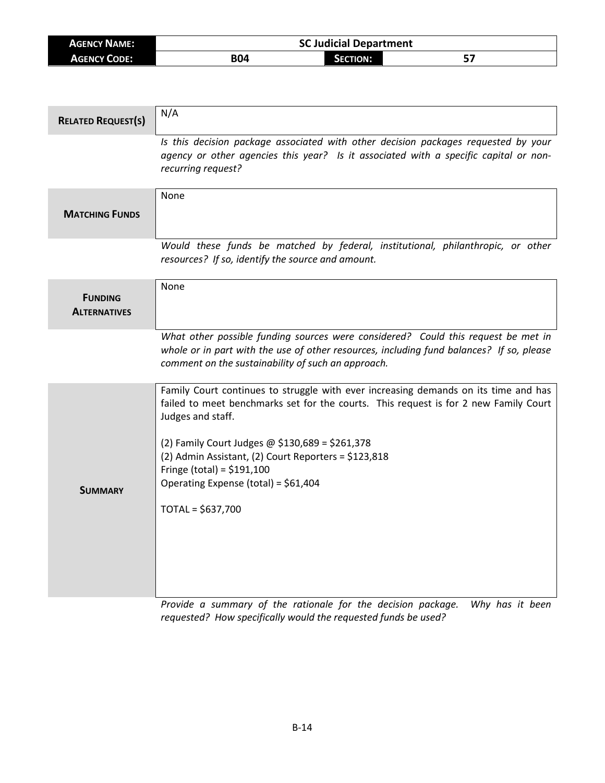| <b>AGENCY NAME:</b> | <b>SC Judicial Department</b> |          |    |
|---------------------|-------------------------------|----------|----|
| <b>AGENCY CODE:</b> | <b>B04</b>                    | SECTION: | е5 |

٦

| <b>RELATED REQUEST(S)</b>             | N/A                                                                                                                                                                                                                                                                                                                                                                                                     |
|---------------------------------------|---------------------------------------------------------------------------------------------------------------------------------------------------------------------------------------------------------------------------------------------------------------------------------------------------------------------------------------------------------------------------------------------------------|
|                                       | Is this decision package associated with other decision packages requested by your<br>agency or other agencies this year? Is it associated with a specific capital or non-<br>recurring request?                                                                                                                                                                                                        |
| <b>MATCHING FUNDS</b>                 | None                                                                                                                                                                                                                                                                                                                                                                                                    |
|                                       | Would these funds be matched by federal, institutional, philanthropic, or other<br>resources? If so, identify the source and amount.                                                                                                                                                                                                                                                                    |
| <b>FUNDING</b><br><b>ALTERNATIVES</b> | None                                                                                                                                                                                                                                                                                                                                                                                                    |
|                                       | What other possible funding sources were considered? Could this request be met in<br>whole or in part with the use of other resources, including fund balances? If so, please<br>comment on the sustainability of such an approach.                                                                                                                                                                     |
| <b>SUMMARY</b>                        | Family Court continues to struggle with ever increasing demands on its time and has<br>failed to meet benchmarks set for the courts. This request is for 2 new Family Court<br>Judges and staff.<br>(2) Family Court Judges @ \$130,689 = \$261,378<br>(2) Admin Assistant, (2) Court Reporters = \$123,818<br>Fringe (total) = $$191,100$<br>Operating Expense (total) = \$61,404<br>TOTAL = \$637,700 |

*Provide a summary of the rationale for the decision package. Why has it been requested? How specifically would the requested funds be used?*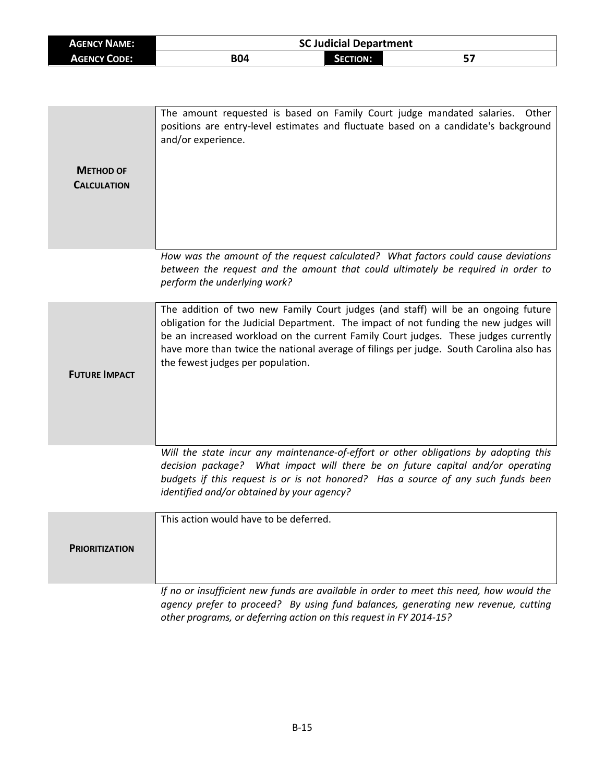| <b>AGENCY NAME:</b>                    | <b>SC Judicial Department</b>                                                                                                                                                                                                                                                                                                                                                                     |                 |       |
|----------------------------------------|---------------------------------------------------------------------------------------------------------------------------------------------------------------------------------------------------------------------------------------------------------------------------------------------------------------------------------------------------------------------------------------------------|-----------------|-------|
| <b>AGENCY CODE:</b>                    | <b>B04</b>                                                                                                                                                                                                                                                                                                                                                                                        | <b>SECTION:</b> | 57    |
|                                        |                                                                                                                                                                                                                                                                                                                                                                                                   |                 |       |
| <b>METHOD OF</b><br><b>CALCULATION</b> | The amount requested is based on Family Court judge mandated salaries.<br>positions are entry-level estimates and fluctuate based on a candidate's background<br>and/or experience.                                                                                                                                                                                                               |                 | Other |
|                                        | How was the amount of the request calculated? What factors could cause deviations<br>between the request and the amount that could ultimately be required in order to<br>perform the underlying work?                                                                                                                                                                                             |                 |       |
| <b>FUTURE IMPACT</b>                   | The addition of two new Family Court judges (and staff) will be an ongoing future<br>obligation for the Judicial Department. The impact of not funding the new judges will<br>be an increased workload on the current Family Court judges. These judges currently<br>have more than twice the national average of filings per judge. South Carolina also has<br>the fewest judges per population. |                 |       |
|                                        | Will the state incur any maintenance-of-effort or other obligations by adopting this<br>decision package? What impact will there be on future capital and/or operating<br>budgets if this request is or is not honored? Has a source of any such funds been<br>identified and/or obtained by your agency?                                                                                         |                 |       |
| <b>PRIORITIZATION</b>                  | This action would have to be deferred.                                                                                                                                                                                                                                                                                                                                                            |                 |       |
|                                        | If no or insufficient new funds are available in order to meet this need, how would the<br>agency prefer to proceed? By using fund balances, generating new revenue, cutting                                                                                                                                                                                                                      |                 |       |

*other programs, or deferring action on this request in FY 2014-15?*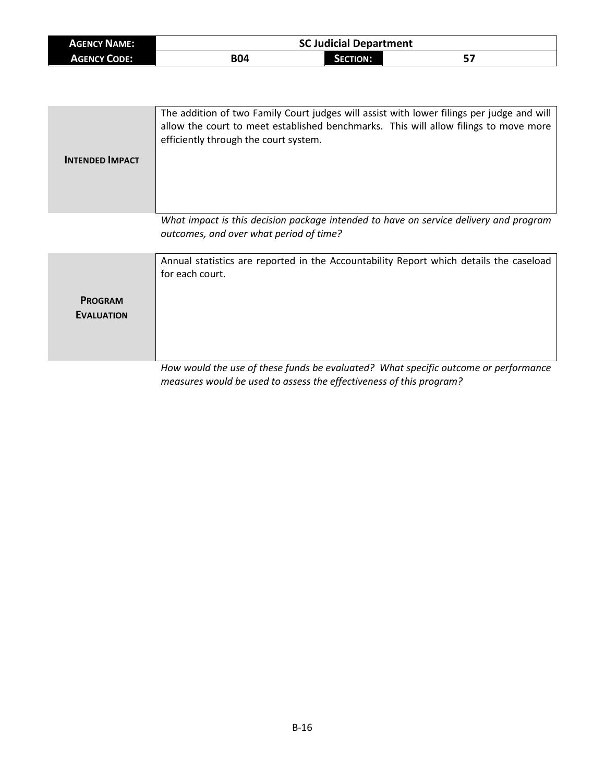| <b>AGENCY NAME:</b> | <b>SC Judicial Department</b> |                 |    |  |
|---------------------|-------------------------------|-----------------|----|--|
| <b>AGENCY CODE:</b> | <b>B04</b>                    | <b>SECTION:</b> | 57 |  |

| <b>INTENDED IMPACT</b>              | The addition of two Family Court judges will assist with lower filings per judge and will<br>allow the court to meet established benchmarks. This will allow filings to move more<br>efficiently through the court system. |
|-------------------------------------|----------------------------------------------------------------------------------------------------------------------------------------------------------------------------------------------------------------------------|
|                                     | What impact is this decision package intended to have on service delivery and program<br>outcomes, and over what period of time?                                                                                           |
| <b>PROGRAM</b><br><b>EVALUATION</b> | Annual statistics are reported in the Accountability Report which details the caseload<br>for each court.<br>How would the use of these funds he evaluated? What specific outcome or performance                           |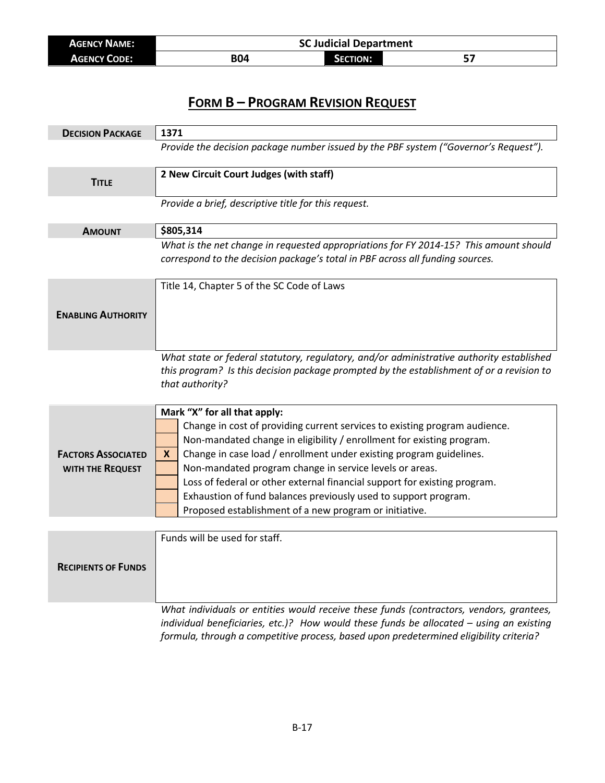| <b>AGENCY NAME:</b> | <b>SC Judicial Department</b> |                 |  |
|---------------------|-------------------------------|-----------------|--|
| <b>AGENCY CODE:</b> | B04                           | <b>SECTION:</b> |  |

| <b>DECISION PACKAGE</b>    | 1371                                                                                     |  |
|----------------------------|------------------------------------------------------------------------------------------|--|
|                            | Provide the decision package number issued by the PBF system ("Governor's Request").     |  |
|                            | 2 New Circuit Court Judges (with staff)                                                  |  |
| <b>TITLE</b>               |                                                                                          |  |
|                            | Provide a brief, descriptive title for this request.                                     |  |
| <b>AMOUNT</b>              | \$805,314                                                                                |  |
|                            | What is the net change in requested appropriations for FY 2014-15? This amount should    |  |
|                            | correspond to the decision package's total in PBF across all funding sources.            |  |
|                            | Title 14, Chapter 5 of the SC Code of Laws                                               |  |
|                            |                                                                                          |  |
| <b>ENABLING AUTHORITY</b>  |                                                                                          |  |
|                            |                                                                                          |  |
|                            | What state or federal statutory, regulatory, and/or administrative authority established |  |
|                            | this program? Is this decision package prompted by the establishment of or a revision to |  |
|                            | that authority?                                                                          |  |
|                            | Mark "X" for all that apply:                                                             |  |
|                            | Change in cost of providing current services to existing program audience.               |  |
|                            | Non-mandated change in eligibility / enrollment for existing program.                    |  |
| <b>FACTORS ASSOCIATED</b>  | Change in case load / enrollment under existing program guidelines.<br>X                 |  |
| WITH THE REQUEST           | Non-mandated program change in service levels or areas.                                  |  |
|                            | Loss of federal or other external financial support for existing program.                |  |
|                            | Exhaustion of fund balances previously used to support program.                          |  |
|                            | Proposed establishment of a new program or initiative.                                   |  |
|                            | Funds will be used for staff.                                                            |  |
|                            |                                                                                          |  |
|                            |                                                                                          |  |
| <b>RECIPIENTS OF FUNDS</b> |                                                                                          |  |
|                            |                                                                                          |  |
|                            |                                                                                          |  |
|                            | What individuals or entities would receive these funds (contractors, vendors, grantees,  |  |
|                            | individual beneficiaries, etc.)? How would these funds be allocated - using an existing  |  |

*formula, through a competitive process, based upon predetermined eligibility criteria?*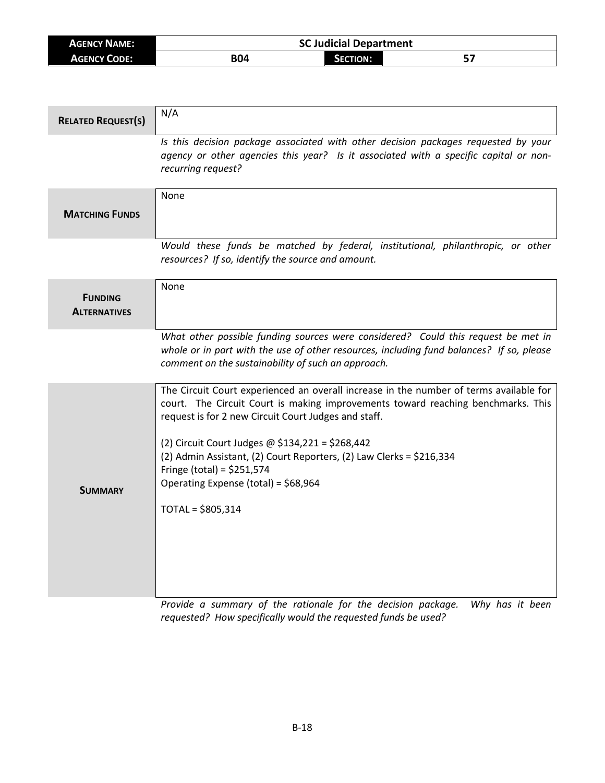| <b>AGENCY NAME:</b> | <b>SC Judicial Department</b> |          |    |
|---------------------|-------------------------------|----------|----|
| <b>AGENCY CODE:</b> | <b>B04</b>                    | SECTION: | е5 |

| <b>RELATED REQUEST(S)</b>             | N/A                                                                                                                                                                                                                                                                                                                                                                                                                                                        |
|---------------------------------------|------------------------------------------------------------------------------------------------------------------------------------------------------------------------------------------------------------------------------------------------------------------------------------------------------------------------------------------------------------------------------------------------------------------------------------------------------------|
|                                       | Is this decision package associated with other decision packages requested by your<br>agency or other agencies this year? Is it associated with a specific capital or non-<br>recurring request?                                                                                                                                                                                                                                                           |
| <b>MATCHING FUNDS</b>                 | None                                                                                                                                                                                                                                                                                                                                                                                                                                                       |
|                                       | Would these funds be matched by federal, institutional, philanthropic, or other<br>resources? If so, identify the source and amount.                                                                                                                                                                                                                                                                                                                       |
| <b>FUNDING</b><br><b>ALTERNATIVES</b> | None                                                                                                                                                                                                                                                                                                                                                                                                                                                       |
|                                       | What other possible funding sources were considered? Could this request be met in<br>whole or in part with the use of other resources, including fund balances? If so, please<br>comment on the sustainability of such an approach.                                                                                                                                                                                                                        |
| <b>SUMMARY</b>                        | The Circuit Court experienced an overall increase in the number of terms available for<br>court. The Circuit Court is making improvements toward reaching benchmarks. This<br>request is for 2 new Circuit Court Judges and staff.<br>(2) Circuit Court Judges @ \$134,221 = \$268,442<br>(2) Admin Assistant, (2) Court Reporters, (2) Law Clerks = \$216,334<br>Fringe (total) = $$251,574$<br>Operating Expense (total) = \$68,964<br>TOTAL = \$805,314 |

*Provide a summary of the rationale for the decision package. Why has it been requested? How specifically would the requested funds be used?*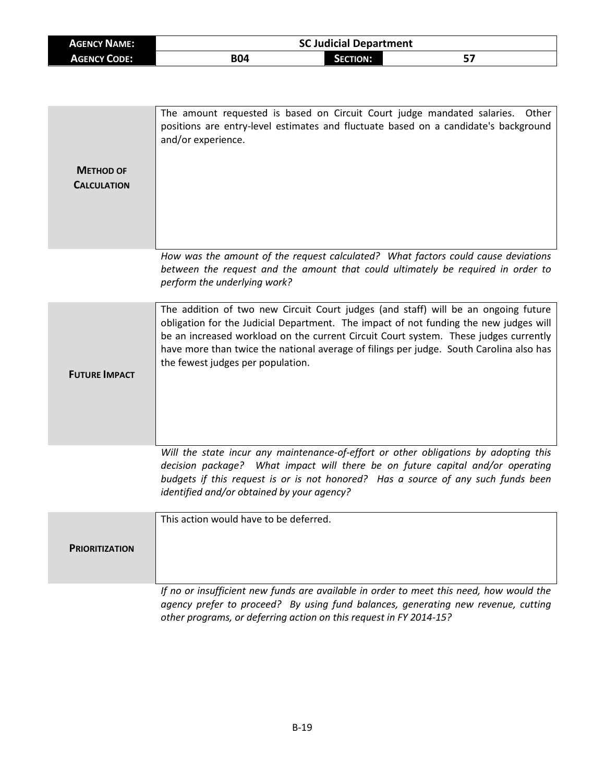| <b>AGENCY NAME:</b>                    | <b>SC Judicial Department</b>                                                                                                                                                                                                                                                                                                                                                                       |  |       |  |  |
|----------------------------------------|-----------------------------------------------------------------------------------------------------------------------------------------------------------------------------------------------------------------------------------------------------------------------------------------------------------------------------------------------------------------------------------------------------|--|-------|--|--|
| <b>AGENCY CODE:</b>                    | <b>B04</b><br>57<br><b>SECTION:</b>                                                                                                                                                                                                                                                                                                                                                                 |  |       |  |  |
|                                        |                                                                                                                                                                                                                                                                                                                                                                                                     |  |       |  |  |
| <b>METHOD OF</b><br><b>CALCULATION</b> | The amount requested is based on Circuit Court judge mandated salaries.<br>positions are entry-level estimates and fluctuate based on a candidate's background<br>and/or experience.                                                                                                                                                                                                                |  | Other |  |  |
|                                        | How was the amount of the request calculated? What factors could cause deviations<br>between the request and the amount that could ultimately be required in order to<br>perform the underlying work?                                                                                                                                                                                               |  |       |  |  |
| <b>FUTURE IMPACT</b>                   | The addition of two new Circuit Court judges (and staff) will be an ongoing future<br>obligation for the Judicial Department. The impact of not funding the new judges will<br>be an increased workload on the current Circuit Court system. These judges currently<br>have more than twice the national average of filings per judge. South Carolina also has<br>the fewest judges per population. |  |       |  |  |
|                                        | Will the state incur any maintenance-of-effort or other obligations by adopting this<br>decision package? What impact will there be on future capital and/or operating<br>budgets if this request is or is not honored? Has a source of any such funds been<br>identified and/or obtained by your agency?                                                                                           |  |       |  |  |
| <b>PRIORITIZATION</b>                  | This action would have to be deferred.                                                                                                                                                                                                                                                                                                                                                              |  |       |  |  |
|                                        | If no or insufficient new funds are available in order to meet this need, how would the<br>agency prefer to proceed? By using fund balances, generating new revenue, cutting                                                                                                                                                                                                                        |  |       |  |  |

*other programs, or deferring action on this request in FY 2014-15?*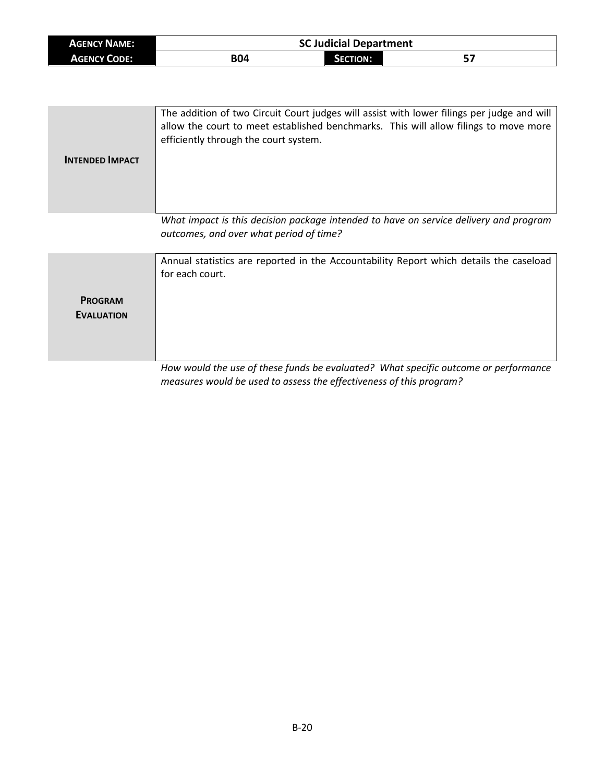| <b>AGENCY NAME:</b> | <b>SC Judicial Department</b> |          |     |
|---------------------|-------------------------------|----------|-----|
| <b>AGENCY CODE:</b> | <b>B04</b>                    | SECTION: | ر כ |

| <b>INTENDED IMPACT</b>              | The addition of two Circuit Court judges will assist with lower filings per judge and will<br>allow the court to meet established benchmarks. This will allow filings to move more<br>efficiently through the court system. |
|-------------------------------------|-----------------------------------------------------------------------------------------------------------------------------------------------------------------------------------------------------------------------------|
|                                     | What impact is this decision package intended to have on service delivery and program<br>outcomes, and over what period of time?                                                                                            |
| <b>PROGRAM</b><br><b>EVALUATION</b> | Annual statistics are reported in the Accountability Report which details the caseload<br>for each court.<br>How would the use of these funds he evaluated? What specific outcome or performance                            |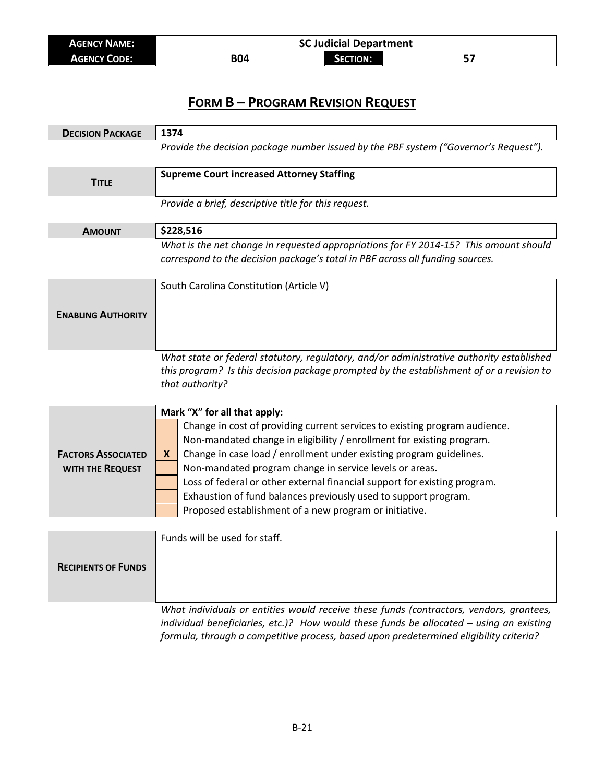| <b>AGENCY NAME:</b> | <b>SC Judicial Department</b> |                 |  |
|---------------------|-------------------------------|-----------------|--|
| <b>AGENCY CODE:</b> | B04                           | <b>SECTION:</b> |  |

| <b>DECISION PACKAGE</b>                       | 1374                                                                                                                                                                                                                                                                                                                                                                                                                                                                                                                                  |
|-----------------------------------------------|---------------------------------------------------------------------------------------------------------------------------------------------------------------------------------------------------------------------------------------------------------------------------------------------------------------------------------------------------------------------------------------------------------------------------------------------------------------------------------------------------------------------------------------|
|                                               | Provide the decision package number issued by the PBF system ("Governor's Request").                                                                                                                                                                                                                                                                                                                                                                                                                                                  |
| <b>TITLE</b>                                  | <b>Supreme Court increased Attorney Staffing</b>                                                                                                                                                                                                                                                                                                                                                                                                                                                                                      |
|                                               | Provide a brief, descriptive title for this request.                                                                                                                                                                                                                                                                                                                                                                                                                                                                                  |
| <b>AMOUNT</b>                                 | \$228,516                                                                                                                                                                                                                                                                                                                                                                                                                                                                                                                             |
|                                               | What is the net change in requested appropriations for FY 2014-15? This amount should<br>correspond to the decision package's total in PBF across all funding sources.                                                                                                                                                                                                                                                                                                                                                                |
| <b>ENABLING AUTHORITY</b>                     | South Carolina Constitution (Article V)                                                                                                                                                                                                                                                                                                                                                                                                                                                                                               |
|                                               | What state or federal statutory, regulatory, and/or administrative authority established<br>this program? Is this decision package prompted by the establishment of or a revision to<br>that authority?                                                                                                                                                                                                                                                                                                                               |
| <b>FACTORS ASSOCIATED</b><br>WITH THE REQUEST | Mark "X" for all that apply:<br>Change in cost of providing current services to existing program audience.<br>Non-mandated change in eligibility / enrollment for existing program.<br>Change in case load / enrollment under existing program guidelines.<br>X.<br>Non-mandated program change in service levels or areas.<br>Loss of federal or other external financial support for existing program.<br>Exhaustion of fund balances previously used to support program.<br>Proposed establishment of a new program or initiative. |
|                                               |                                                                                                                                                                                                                                                                                                                                                                                                                                                                                                                                       |
| <b>RECIPIENTS OF FUNDS</b>                    | Funds will be used for staff.                                                                                                                                                                                                                                                                                                                                                                                                                                                                                                         |
|                                               | What individuals or entities would receive these funds (contractors, vendors, grantees,                                                                                                                                                                                                                                                                                                                                                                                                                                               |

*individual beneficiaries, etc.)? How would these funds be allocated – using an existing formula, through a competitive process, based upon predetermined eligibility criteria?*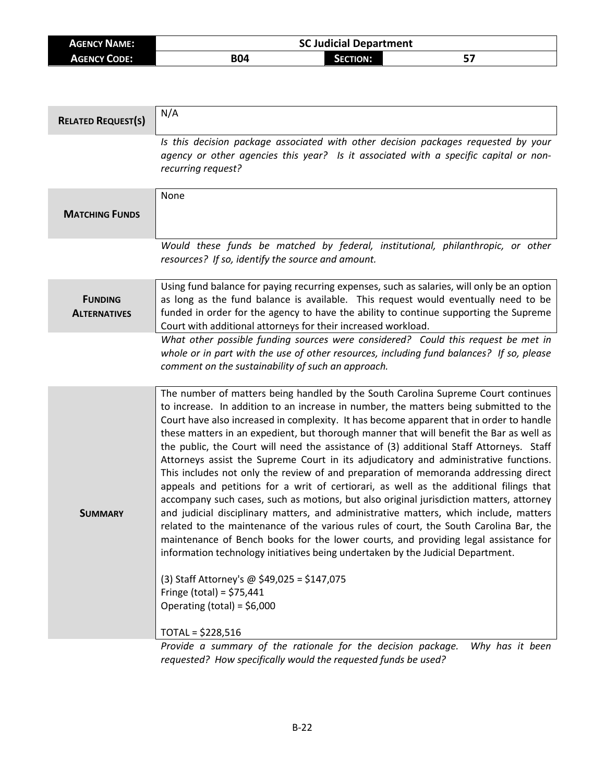| <b>AGENCY NAME:</b> | <b>SC Judicial Department</b> |                 |           |
|---------------------|-------------------------------|-----------------|-----------|
| <b>AGENCY CODE:</b> | B04                           | <b>SECTION:</b> | г.<br>, כ |

| <b>RELATED REQUEST(S)</b>             | N/A                                                                                                                                                                                                                                                                                                                                                                                                                                                                                                                                                                                                                                                                                                                                                                                                                                                                                                                                                                                                                                                                                                                                                                                                                                                                                                                            |
|---------------------------------------|--------------------------------------------------------------------------------------------------------------------------------------------------------------------------------------------------------------------------------------------------------------------------------------------------------------------------------------------------------------------------------------------------------------------------------------------------------------------------------------------------------------------------------------------------------------------------------------------------------------------------------------------------------------------------------------------------------------------------------------------------------------------------------------------------------------------------------------------------------------------------------------------------------------------------------------------------------------------------------------------------------------------------------------------------------------------------------------------------------------------------------------------------------------------------------------------------------------------------------------------------------------------------------------------------------------------------------|
|                                       | Is this decision package associated with other decision packages requested by your<br>agency or other agencies this year? Is it associated with a specific capital or non-<br>recurring request?                                                                                                                                                                                                                                                                                                                                                                                                                                                                                                                                                                                                                                                                                                                                                                                                                                                                                                                                                                                                                                                                                                                               |
| <b>MATCHING FUNDS</b>                 | None                                                                                                                                                                                                                                                                                                                                                                                                                                                                                                                                                                                                                                                                                                                                                                                                                                                                                                                                                                                                                                                                                                                                                                                                                                                                                                                           |
|                                       | Would these funds be matched by federal, institutional, philanthropic, or other<br>resources? If so, identify the source and amount.                                                                                                                                                                                                                                                                                                                                                                                                                                                                                                                                                                                                                                                                                                                                                                                                                                                                                                                                                                                                                                                                                                                                                                                           |
| <b>FUNDING</b><br><b>ALTERNATIVES</b> | Using fund balance for paying recurring expenses, such as salaries, will only be an option<br>as long as the fund balance is available. This request would eventually need to be<br>funded in order for the agency to have the ability to continue supporting the Supreme<br>Court with additional attorneys for their increased workload.                                                                                                                                                                                                                                                                                                                                                                                                                                                                                                                                                                                                                                                                                                                                                                                                                                                                                                                                                                                     |
|                                       | What other possible funding sources were considered? Could this request be met in<br>whole or in part with the use of other resources, including fund balances? If so, please<br>comment on the sustainability of such an approach.                                                                                                                                                                                                                                                                                                                                                                                                                                                                                                                                                                                                                                                                                                                                                                                                                                                                                                                                                                                                                                                                                            |
| <b>SUMMARY</b>                        | The number of matters being handled by the South Carolina Supreme Court continues<br>to increase. In addition to an increase in number, the matters being submitted to the<br>Court have also increased in complexity. It has become apparent that in order to handle<br>these matters in an expedient, but thorough manner that will benefit the Bar as well as<br>the public, the Court will need the assistance of (3) additional Staff Attorneys. Staff<br>Attorneys assist the Supreme Court in its adjudicatory and administrative functions.<br>This includes not only the review of and preparation of memoranda addressing direct<br>appeals and petitions for a writ of certiorari, as well as the additional filings that<br>accompany such cases, such as motions, but also original jurisdiction matters, attorney<br>and judicial disciplinary matters, and administrative matters, which include, matters<br>related to the maintenance of the various rules of court, the South Carolina Bar, the<br>maintenance of Bench books for the lower courts, and providing legal assistance for<br>information technology initiatives being undertaken by the Judicial Department.<br>(3) Staff Attorney's @ \$49,025 = \$147,075<br>Fringe (total) = $$75,441$<br>Operating (total) = $$6,000$<br>$TOTAL = $228,516$ |

*Provide a summary of the rationale for the decision package. Why has it been requested? How specifically would the requested funds be used?*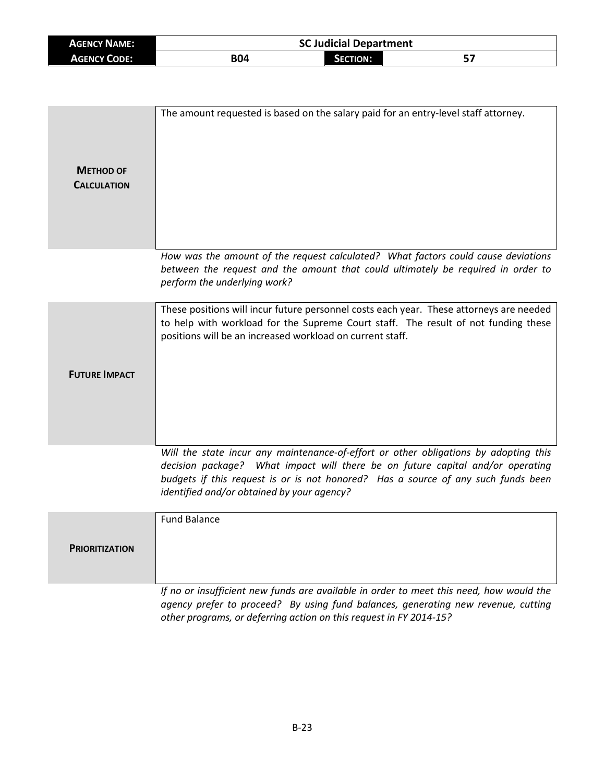| <b>AGENCY NAME:</b> |     | <b>SC Judicial Department</b> |    |
|---------------------|-----|-------------------------------|----|
| <b>AGENCY CODE:</b> | B04 | <b>SECTION:</b>               | 57 |

| <b>METHOD OF</b><br><b>CALCULATION</b> | The amount requested is based on the salary paid for an entry-level staff attorney.                                                                                                                                                                                                                       |
|----------------------------------------|-----------------------------------------------------------------------------------------------------------------------------------------------------------------------------------------------------------------------------------------------------------------------------------------------------------|
|                                        | How was the amount of the request calculated? What factors could cause deviations<br>between the request and the amount that could ultimately be required in order to<br>perform the underlying work?                                                                                                     |
| <b>FUTURE IMPACT</b>                   | These positions will incur future personnel costs each year. These attorneys are needed<br>to help with workload for the Supreme Court staff. The result of not funding these<br>positions will be an increased workload on current staff.                                                                |
|                                        | Will the state incur any maintenance-of-effort or other obligations by adopting this<br>decision package? What impact will there be on future capital and/or operating<br>budgets if this request is or is not honored? Has a source of any such funds been<br>identified and/or obtained by your agency? |
| <b>PRIORITIZATION</b>                  | <b>Fund Balance</b>                                                                                                                                                                                                                                                                                       |
|                                        | If no or insufficient new funds are available in order to meet this need, how would the<br>agency prefer to proceed? By using fund balances, generating new revenue, cutting                                                                                                                              |

*other programs, or deferring action on this request in FY 2014-15?*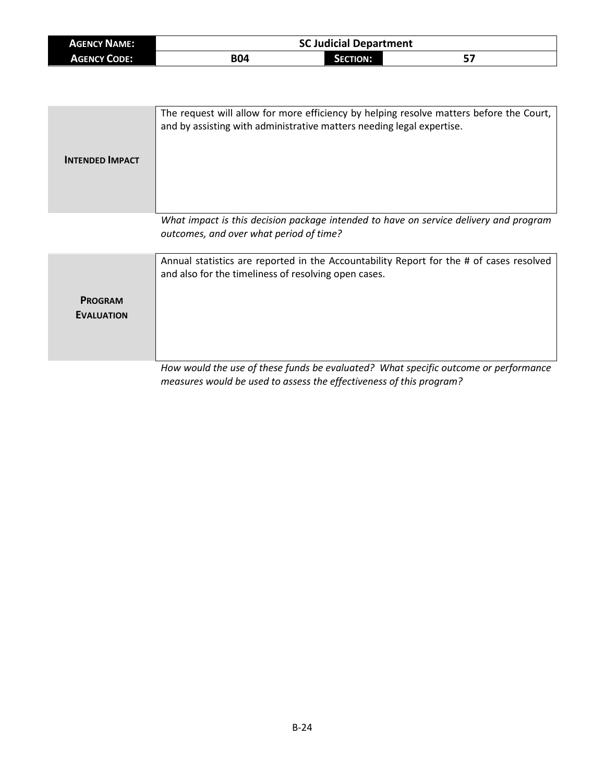| <b>AGENCY NAME:</b> |            | <b>SC Judicial Department</b> |     |  |
|---------------------|------------|-------------------------------|-----|--|
| <b>AGENCY CODE:</b> | <b>B04</b> | <b>SECTION:</b>               | ، ب |  |

| <b>INTENDED IMPACT</b>              | The request will allow for more efficiency by helping resolve matters before the Court,<br>and by assisting with administrative matters needing legal expertise.                                                                                                                                          |
|-------------------------------------|-----------------------------------------------------------------------------------------------------------------------------------------------------------------------------------------------------------------------------------------------------------------------------------------------------------|
|                                     | What impact is this decision package intended to have on service delivery and program<br>outcomes, and over what period of time?                                                                                                                                                                          |
| <b>PROGRAM</b><br><b>EVALUATION</b> | Annual statistics are reported in the Accountability Report for the # of cases resolved<br>and also for the timeliness of resolving open cases.<br>Little and $\mathcal{L}(L)$ are $\mathcal{L}$ and $L$ are also and $\mathcal{L}(L)$ and $\mathcal{L}(L)$ are all $\mathcal{L}(L)$ and $\mathcal{L}(L)$ |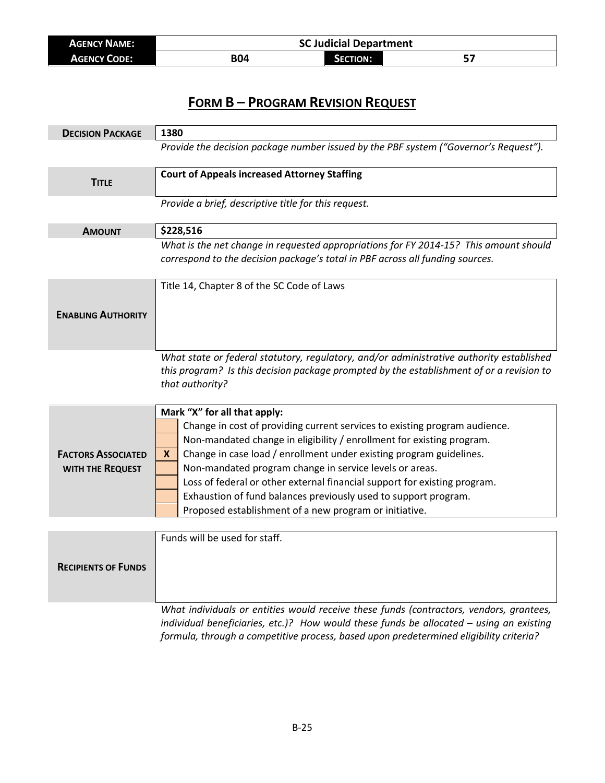| <b>AGENCY NAME:</b> | <b>SC Judicial Department</b> |                 |  |
|---------------------|-------------------------------|-----------------|--|
| <b>AGENCY CODE:</b> | B04                           | <b>SECTION:</b> |  |

| <b>DECISION PACKAGE</b>                       | 1380                                                                                                                                                                                                                                                                                                                                                                                                                                                                                                                                  |  |  |
|-----------------------------------------------|---------------------------------------------------------------------------------------------------------------------------------------------------------------------------------------------------------------------------------------------------------------------------------------------------------------------------------------------------------------------------------------------------------------------------------------------------------------------------------------------------------------------------------------|--|--|
|                                               | Provide the decision package number issued by the PBF system ("Governor's Request").                                                                                                                                                                                                                                                                                                                                                                                                                                                  |  |  |
| <b>TITLE</b>                                  | <b>Court of Appeals increased Attorney Staffing</b>                                                                                                                                                                                                                                                                                                                                                                                                                                                                                   |  |  |
|                                               | Provide a brief, descriptive title for this request.                                                                                                                                                                                                                                                                                                                                                                                                                                                                                  |  |  |
| <b>AMOUNT</b>                                 | \$228,516                                                                                                                                                                                                                                                                                                                                                                                                                                                                                                                             |  |  |
|                                               | What is the net change in requested appropriations for FY 2014-15? This amount should<br>correspond to the decision package's total in PBF across all funding sources.                                                                                                                                                                                                                                                                                                                                                                |  |  |
|                                               | Title 14, Chapter 8 of the SC Code of Laws                                                                                                                                                                                                                                                                                                                                                                                                                                                                                            |  |  |
| <b>ENABLING AUTHORITY</b>                     |                                                                                                                                                                                                                                                                                                                                                                                                                                                                                                                                       |  |  |
|                                               | What state or federal statutory, regulatory, and/or administrative authority established<br>this program? Is this decision package prompted by the establishment of or a revision to<br>that authority?                                                                                                                                                                                                                                                                                                                               |  |  |
| <b>FACTORS ASSOCIATED</b><br>WITH THE REQUEST | Mark "X" for all that apply:<br>Change in cost of providing current services to existing program audience.<br>Non-mandated change in eligibility / enrollment for existing program.<br>Change in case load / enrollment under existing program guidelines.<br>X.<br>Non-mandated program change in service levels or areas.<br>Loss of federal or other external financial support for existing program.<br>Exhaustion of fund balances previously used to support program.<br>Proposed establishment of a new program or initiative. |  |  |
|                                               | Funds will be used for staff.                                                                                                                                                                                                                                                                                                                                                                                                                                                                                                         |  |  |
| <b>RECIPIENTS OF FUNDS</b>                    |                                                                                                                                                                                                                                                                                                                                                                                                                                                                                                                                       |  |  |
|                                               | What individuals or entities would receive these funds (contractors, vendors, grantees,<br>individual beneficiaries, etc.)? How would these funds be allocated - using an existing                                                                                                                                                                                                                                                                                                                                                    |  |  |

B-25

*formula, through a competitive process, based upon predetermined eligibility criteria?*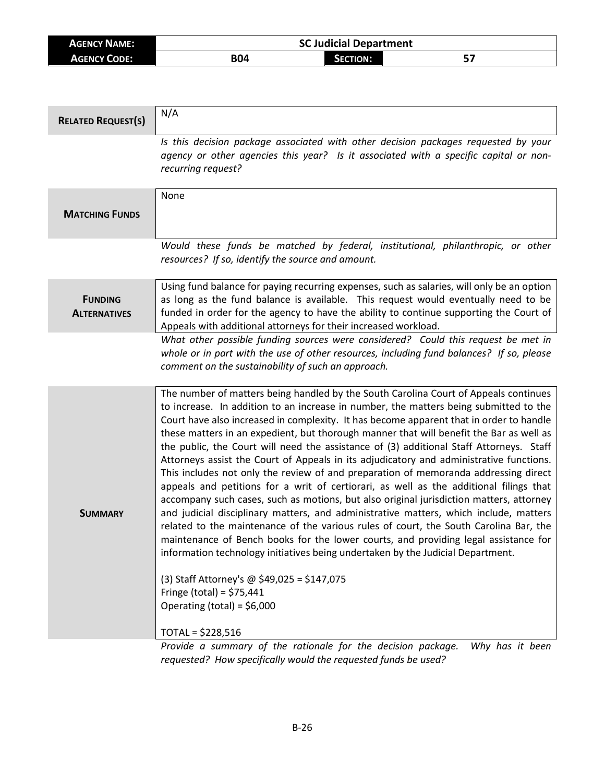| <b>AGENCY NAME:</b> | <b>SC Judicial Department</b> |                 |           |
|---------------------|-------------------------------|-----------------|-----------|
| <b>AGENCY CODE:</b> | B04                           | <b>SECTION:</b> | г.<br>, כ |

| <b>RELATED REQUEST(S)</b>             | N/A                                                                                                                                                                                                                                                                                                                                                                                                                                                                                                                                                                                                                                                                                                                                                                                                                                                                                                                                                                                                                                                                                                                                                                                                                                                                                                                                  |
|---------------------------------------|--------------------------------------------------------------------------------------------------------------------------------------------------------------------------------------------------------------------------------------------------------------------------------------------------------------------------------------------------------------------------------------------------------------------------------------------------------------------------------------------------------------------------------------------------------------------------------------------------------------------------------------------------------------------------------------------------------------------------------------------------------------------------------------------------------------------------------------------------------------------------------------------------------------------------------------------------------------------------------------------------------------------------------------------------------------------------------------------------------------------------------------------------------------------------------------------------------------------------------------------------------------------------------------------------------------------------------------|
|                                       | Is this decision package associated with other decision packages requested by your<br>agency or other agencies this year? Is it associated with a specific capital or non-<br>recurring request?                                                                                                                                                                                                                                                                                                                                                                                                                                                                                                                                                                                                                                                                                                                                                                                                                                                                                                                                                                                                                                                                                                                                     |
| <b>MATCHING FUNDS</b>                 | None                                                                                                                                                                                                                                                                                                                                                                                                                                                                                                                                                                                                                                                                                                                                                                                                                                                                                                                                                                                                                                                                                                                                                                                                                                                                                                                                 |
|                                       | Would these funds be matched by federal, institutional, philanthropic, or other<br>resources? If so, identify the source and amount.                                                                                                                                                                                                                                                                                                                                                                                                                                                                                                                                                                                                                                                                                                                                                                                                                                                                                                                                                                                                                                                                                                                                                                                                 |
| <b>FUNDING</b><br><b>ALTERNATIVES</b> | Using fund balance for paying recurring expenses, such as salaries, will only be an option<br>as long as the fund balance is available. This request would eventually need to be<br>funded in order for the agency to have the ability to continue supporting the Court of<br>Appeals with additional attorneys for their increased workload.                                                                                                                                                                                                                                                                                                                                                                                                                                                                                                                                                                                                                                                                                                                                                                                                                                                                                                                                                                                        |
|                                       | What other possible funding sources were considered? Could this request be met in<br>whole or in part with the use of other resources, including fund balances? If so, please<br>comment on the sustainability of such an approach.                                                                                                                                                                                                                                                                                                                                                                                                                                                                                                                                                                                                                                                                                                                                                                                                                                                                                                                                                                                                                                                                                                  |
| <b>SUMMARY</b>                        | The number of matters being handled by the South Carolina Court of Appeals continues<br>to increase. In addition to an increase in number, the matters being submitted to the<br>Court have also increased in complexity. It has become apparent that in order to handle<br>these matters in an expedient, but thorough manner that will benefit the Bar as well as<br>the public, the Court will need the assistance of (3) additional Staff Attorneys. Staff<br>Attorneys assist the Court of Appeals in its adjudicatory and administrative functions.<br>This includes not only the review of and preparation of memoranda addressing direct<br>appeals and petitions for a writ of certiorari, as well as the additional filings that<br>accompany such cases, such as motions, but also original jurisdiction matters, attorney<br>and judicial disciplinary matters, and administrative matters, which include, matters<br>related to the maintenance of the various rules of court, the South Carolina Bar, the<br>maintenance of Bench books for the lower courts, and providing legal assistance for<br>information technology initiatives being undertaken by the Judicial Department.<br>(3) Staff Attorney's @ \$49,025 = \$147,075<br>Fringe (total) = $$75,441$<br>Operating (total) = $$6,000$<br>$TOTAL = $228,516$ |

*Provide a summary of the rationale for the decision package. Why has it been requested? How specifically would the requested funds be used?*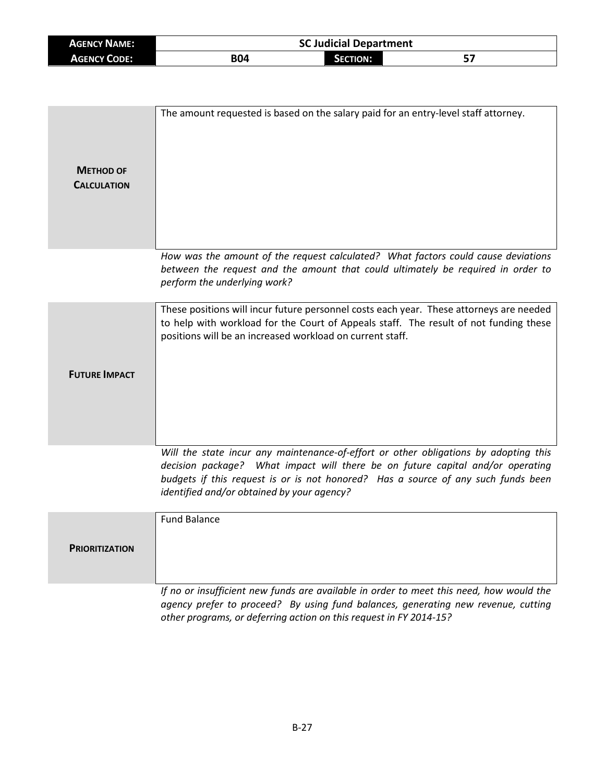| <b>AGENCY NAME:</b> | <b>SC Judicial Department</b> |                 |    |
|---------------------|-------------------------------|-----------------|----|
| <b>AGENCY CODE:</b> | B04                           | <b>SECTION:</b> | 57 |

| <b>METHOD OF</b><br><b>CALCULATION</b> | The amount requested is based on the salary paid for an entry-level staff attorney.                                                                                                                                                                                                                       |
|----------------------------------------|-----------------------------------------------------------------------------------------------------------------------------------------------------------------------------------------------------------------------------------------------------------------------------------------------------------|
|                                        | How was the amount of the request calculated? What factors could cause deviations<br>between the request and the amount that could ultimately be required in order to<br>perform the underlying work?                                                                                                     |
| <b>FUTURE IMPACT</b>                   | These positions will incur future personnel costs each year. These attorneys are needed<br>to help with workload for the Court of Appeals staff. The result of not funding these<br>positions will be an increased workload on current staff.                                                             |
|                                        | Will the state incur any maintenance-of-effort or other obligations by adopting this<br>decision package? What impact will there be on future capital and/or operating<br>budgets if this request is or is not honored? Has a source of any such funds been<br>identified and/or obtained by your agency? |
| <b>PRIORITIZATION</b>                  | <b>Fund Balance</b>                                                                                                                                                                                                                                                                                       |
|                                        | If no or insufficient new funds are available in order to meet this need, how would the<br>agency prefer to proceed? By using fund balances, generating new revenue, cutting                                                                                                                              |

*other programs, or deferring action on this request in FY 2014-15?*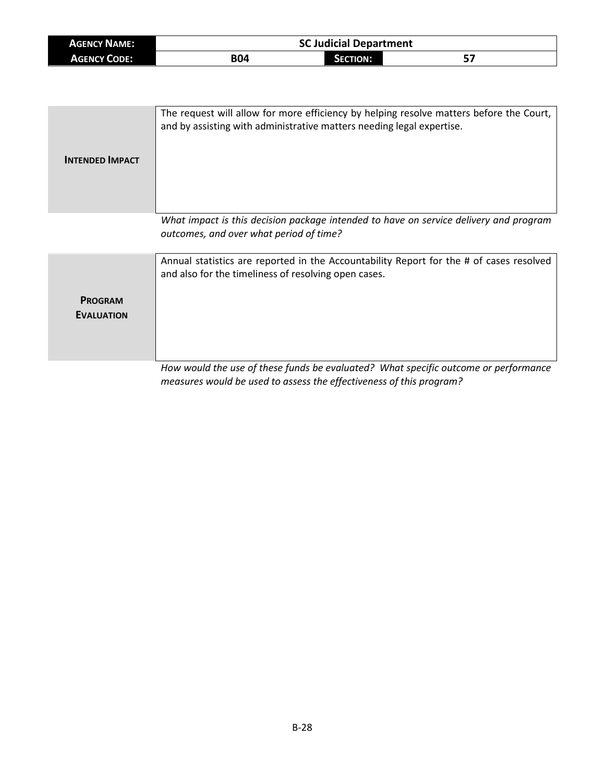| <b>AGENCY NAME:</b> | <b>SC Judicial Department</b> |                 |     |  |
|---------------------|-------------------------------|-----------------|-----|--|
| <b>AGENCY CODE:</b> | <b>B04</b>                    | <b>SECTION:</b> | ، پ |  |

| <b>INTENDED IMPACT</b>              | The request will allow for more efficiency by helping resolve matters before the Court,<br>and by assisting with administrative matters needing legal expertise.                                                                                                                                                                                                                |
|-------------------------------------|---------------------------------------------------------------------------------------------------------------------------------------------------------------------------------------------------------------------------------------------------------------------------------------------------------------------------------------------------------------------------------|
|                                     | What impact is this decision package intended to have on service delivery and program<br>outcomes, and over what period of time?                                                                                                                                                                                                                                                |
| <b>PROGRAM</b><br><b>EVALUATION</b> | Annual statistics are reported in the Accountability Report for the # of cases resolved<br>and also for the timeliness of resolving open cases.<br>The theory of the contract of the contract of the state of the state of the contract of the contract of the state of the state of the state of the state of the state of the state of the state of the state of the state of |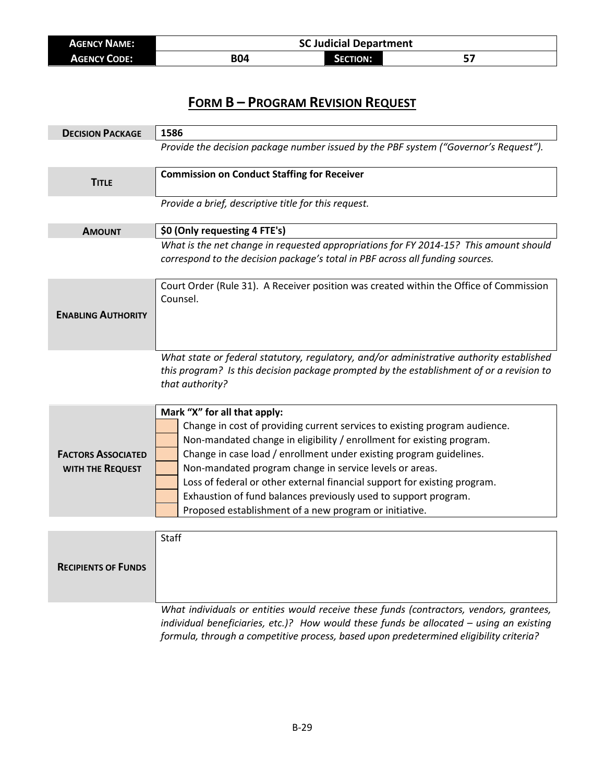| <b>AGENCY NAME:</b> | <b>SC Judicial Department</b> |          |  |
|---------------------|-------------------------------|----------|--|
| <b>AGENCY CODE:</b> | B04                           | SECTION: |  |

| <b>DECISION PACKAGE</b>                       | 1586                                                                                                                                                                                                                                                                                                                                                                                                                                                                                                                            |  |  |
|-----------------------------------------------|---------------------------------------------------------------------------------------------------------------------------------------------------------------------------------------------------------------------------------------------------------------------------------------------------------------------------------------------------------------------------------------------------------------------------------------------------------------------------------------------------------------------------------|--|--|
|                                               | Provide the decision package number issued by the PBF system ("Governor's Request").                                                                                                                                                                                                                                                                                                                                                                                                                                            |  |  |
| <b>TITLE</b>                                  | <b>Commission on Conduct Staffing for Receiver</b>                                                                                                                                                                                                                                                                                                                                                                                                                                                                              |  |  |
|                                               | Provide a brief, descriptive title for this request.                                                                                                                                                                                                                                                                                                                                                                                                                                                                            |  |  |
| <b>AMOUNT</b>                                 | \$0 (Only requesting 4 FTE's)                                                                                                                                                                                                                                                                                                                                                                                                                                                                                                   |  |  |
|                                               | What is the net change in requested appropriations for FY 2014-15? This amount should<br>correspond to the decision package's total in PBF across all funding sources.                                                                                                                                                                                                                                                                                                                                                          |  |  |
| <b>ENABLING AUTHORITY</b>                     | Court Order (Rule 31). A Receiver position was created within the Office of Commission<br>Counsel.                                                                                                                                                                                                                                                                                                                                                                                                                              |  |  |
|                                               | What state or federal statutory, regulatory, and/or administrative authority established<br>this program? Is this decision package prompted by the establishment of or a revision to<br>that authority?                                                                                                                                                                                                                                                                                                                         |  |  |
| <b>FACTORS ASSOCIATED</b><br>WITH THE REQUEST | Mark "X" for all that apply:<br>Change in cost of providing current services to existing program audience.<br>Non-mandated change in eligibility / enrollment for existing program.<br>Change in case load / enrollment under existing program guidelines.<br>Non-mandated program change in service levels or areas.<br>Loss of federal or other external financial support for existing program.<br>Exhaustion of fund balances previously used to support program.<br>Proposed establishment of a new program or initiative. |  |  |
|                                               |                                                                                                                                                                                                                                                                                                                                                                                                                                                                                                                                 |  |  |
| <b>RECIPIENTS OF FUNDS</b>                    | <b>Staff</b>                                                                                                                                                                                                                                                                                                                                                                                                                                                                                                                    |  |  |
|                                               | What individuals or entities would receive these funds (contractors, vendors, grantees,                                                                                                                                                                                                                                                                                                                                                                                                                                         |  |  |

*individual beneficiaries, etc.)? How would these funds be allocated – using an existing formula, through a competitive process, based upon predetermined eligibility criteria?*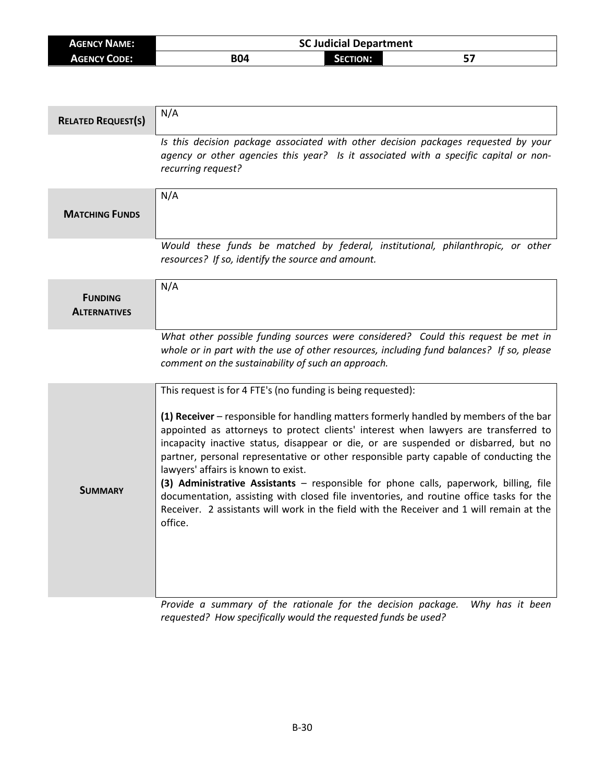| <b>AGENCY NAME:</b> | <b>SC Judicial Department</b> |                 |    |
|---------------------|-------------------------------|-----------------|----|
| <b>AGENCY CODE:</b> | <b>B04</b>                    | <b>SECTION:</b> | E. |

| <b>RELATED REQUEST(S)</b>             | N/A                                                                                                                                                                                                                                                                                                                                                                                                                                                                                                                                                                                                                                                                                                                                                             |
|---------------------------------------|-----------------------------------------------------------------------------------------------------------------------------------------------------------------------------------------------------------------------------------------------------------------------------------------------------------------------------------------------------------------------------------------------------------------------------------------------------------------------------------------------------------------------------------------------------------------------------------------------------------------------------------------------------------------------------------------------------------------------------------------------------------------|
|                                       | Is this decision package associated with other decision packages requested by your<br>agency or other agencies this year? Is it associated with a specific capital or non-<br>recurring request?                                                                                                                                                                                                                                                                                                                                                                                                                                                                                                                                                                |
| <b>MATCHING FUNDS</b>                 | N/A                                                                                                                                                                                                                                                                                                                                                                                                                                                                                                                                                                                                                                                                                                                                                             |
|                                       | Would these funds be matched by federal, institutional, philanthropic, or other<br>resources? If so, identify the source and amount.                                                                                                                                                                                                                                                                                                                                                                                                                                                                                                                                                                                                                            |
| <b>FUNDING</b><br><b>ALTERNATIVES</b> | N/A                                                                                                                                                                                                                                                                                                                                                                                                                                                                                                                                                                                                                                                                                                                                                             |
|                                       | What other possible funding sources were considered? Could this request be met in<br>whole or in part with the use of other resources, including fund balances? If so, please<br>comment on the sustainability of such an approach.                                                                                                                                                                                                                                                                                                                                                                                                                                                                                                                             |
| <b>SUMMARY</b>                        | This request is for 4 FTE's (no funding is being requested):<br>(1) Receiver – responsible for handling matters formerly handled by members of the bar<br>appointed as attorneys to protect clients' interest when lawyers are transferred to<br>incapacity inactive status, disappear or die, or are suspended or disbarred, but no<br>partner, personal representative or other responsible party capable of conducting the<br>lawyers' affairs is known to exist.<br>(3) Administrative Assistants - responsible for phone calls, paperwork, billing, file<br>documentation, assisting with closed file inventories, and routine office tasks for the<br>Receiver. 2 assistants will work in the field with the Receiver and 1 will remain at the<br>office. |

*Provide a summary of the rationale for the decision package. Why has it been requested? How specifically would the requested funds be used?*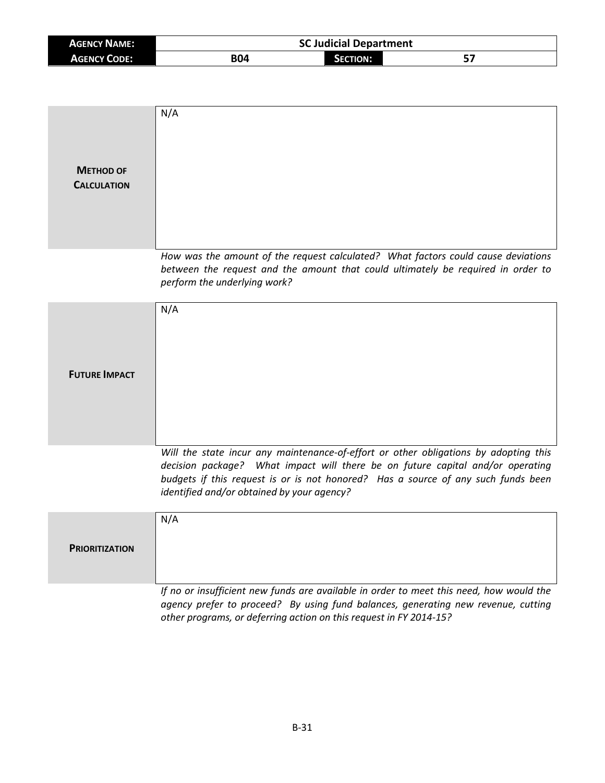| <b>AGENCY NAME:</b> | <b>SC Judicial Department</b> |                 |    |
|---------------------|-------------------------------|-----------------|----|
| <b>AGENCY CODE:</b> | <b>B04</b>                    | <b>SECTION:</b> | -- |

| <b>METHOD OF</b><br><b>CALCULATION</b> | N/A                                                                                                                                                                                                                                                                                                       |
|----------------------------------------|-----------------------------------------------------------------------------------------------------------------------------------------------------------------------------------------------------------------------------------------------------------------------------------------------------------|
|                                        | How was the amount of the request calculated? What factors could cause deviations<br>between the request and the amount that could ultimately be required in order to<br>perform the underlying work?                                                                                                     |
| <b>FUTURE IMPACT</b>                   | N/A                                                                                                                                                                                                                                                                                                       |
|                                        | Will the state incur any maintenance-of-effort or other obligations by adopting this<br>decision package? What impact will there be on future capital and/or operating<br>budgets if this request is or is not honored? Has a source of any such funds been<br>identified and/or obtained by your agency? |
| <b>PRIORITIZATION</b>                  | N/A                                                                                                                                                                                                                                                                                                       |
|                                        | If no or insufficient new funds are available in order to meet this need, how would the<br>agency prefer to proceed? By using fund balances, generating new revenue, cutting<br>other programs, or deferring action on this request in FY 2014-15?                                                        |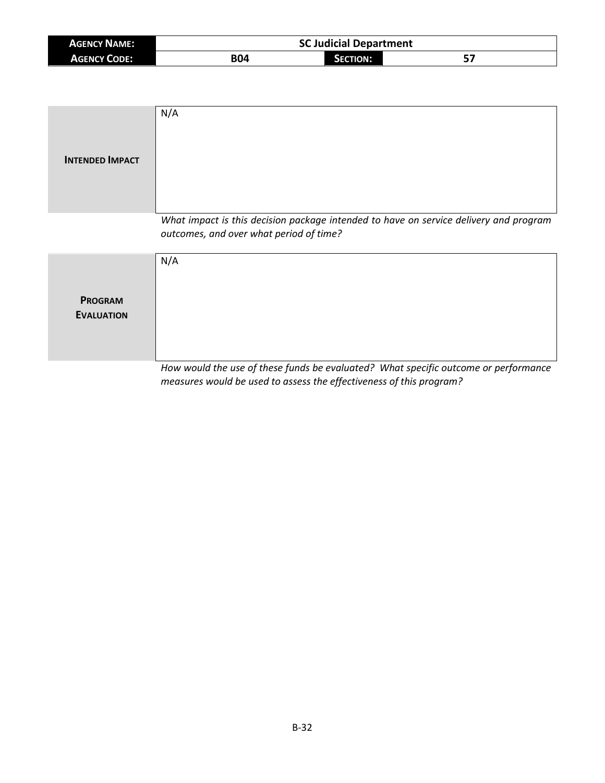| <b>AGENCY NAME:</b> | <b>SC Judicial Department</b> |          |    |
|---------------------|-------------------------------|----------|----|
| <b>AGENCY CODE:</b> | <b>B04</b>                    | SECTION: | 57 |

| <b>INTENDED IMPACT</b>              | N/A                                                                                                                              |
|-------------------------------------|----------------------------------------------------------------------------------------------------------------------------------|
|                                     | What impact is this decision package intended to have on service delivery and program<br>outcomes, and over what period of time? |
| <b>PROGRAM</b><br><b>EVALUATION</b> | N/A                                                                                                                              |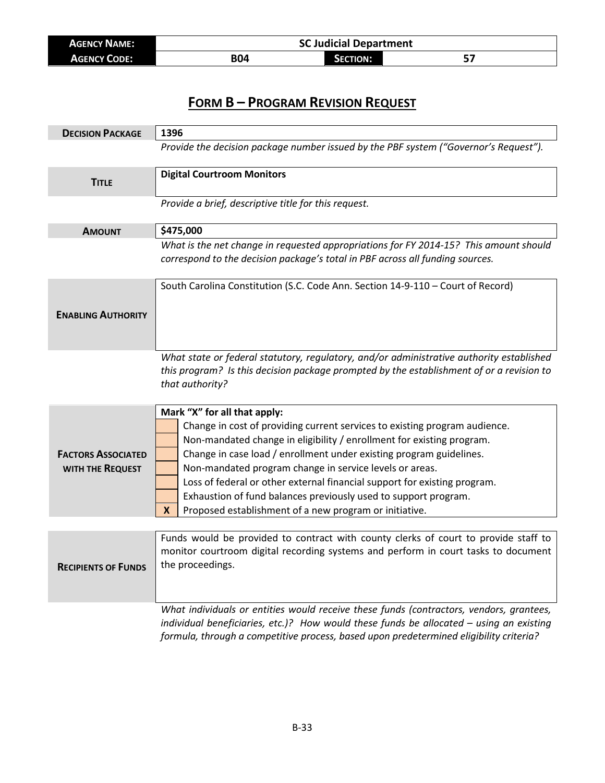| <b>AGENCY NAME:</b> | <b>SC Judicial Department</b> |                 |  |
|---------------------|-------------------------------|-----------------|--|
| <b>AGENCY CODE:</b> | B04                           | <b>SECTION:</b> |  |

| <b>DECISION PACKAGE</b>                       | 1396                                                                                                                                                                                                                                                                                                                                                                                                                                                                                                                                 |  |  |
|-----------------------------------------------|--------------------------------------------------------------------------------------------------------------------------------------------------------------------------------------------------------------------------------------------------------------------------------------------------------------------------------------------------------------------------------------------------------------------------------------------------------------------------------------------------------------------------------------|--|--|
|                                               | Provide the decision package number issued by the PBF system ("Governor's Request").                                                                                                                                                                                                                                                                                                                                                                                                                                                 |  |  |
| <b>TITLE</b>                                  | <b>Digital Courtroom Monitors</b>                                                                                                                                                                                                                                                                                                                                                                                                                                                                                                    |  |  |
|                                               | Provide a brief, descriptive title for this request.                                                                                                                                                                                                                                                                                                                                                                                                                                                                                 |  |  |
| <b>AMOUNT</b>                                 | \$475,000                                                                                                                                                                                                                                                                                                                                                                                                                                                                                                                            |  |  |
|                                               | What is the net change in requested appropriations for FY 2014-15? This amount should<br>correspond to the decision package's total in PBF across all funding sources.                                                                                                                                                                                                                                                                                                                                                               |  |  |
|                                               | South Carolina Constitution (S.C. Code Ann. Section 14-9-110 - Court of Record)                                                                                                                                                                                                                                                                                                                                                                                                                                                      |  |  |
| <b>ENABLING AUTHORITY</b>                     |                                                                                                                                                                                                                                                                                                                                                                                                                                                                                                                                      |  |  |
|                                               | What state or federal statutory, regulatory, and/or administrative authority established                                                                                                                                                                                                                                                                                                                                                                                                                                             |  |  |
|                                               | this program? Is this decision package prompted by the establishment of or a revision to                                                                                                                                                                                                                                                                                                                                                                                                                                             |  |  |
|                                               | that authority?                                                                                                                                                                                                                                                                                                                                                                                                                                                                                                                      |  |  |
| <b>FACTORS ASSOCIATED</b><br>WITH THE REQUEST | Mark "X" for all that apply:<br>Change in cost of providing current services to existing program audience.<br>Non-mandated change in eligibility / enrollment for existing program.<br>Change in case load / enrollment under existing program guidelines.<br>Non-mandated program change in service levels or areas.<br>Loss of federal or other external financial support for existing program.<br>Exhaustion of fund balances previously used to support program.<br>Proposed establishment of a new program or initiative.<br>X |  |  |
|                                               |                                                                                                                                                                                                                                                                                                                                                                                                                                                                                                                                      |  |  |
| <b>RECIPIENTS OF FUNDS</b>                    | Funds would be provided to contract with county clerks of court to provide staff to<br>monitor courtroom digital recording systems and perform in court tasks to document<br>the proceedings.                                                                                                                                                                                                                                                                                                                                        |  |  |
|                                               | What individuals or entities would receive these funds (contractors, vendors, grantees,<br>individual beneficiaries, etc.)? How would these funds be allocated $-$ using an existing<br>formula, through a competitive process, based upon predetermined eligibility criteria?                                                                                                                                                                                                                                                       |  |  |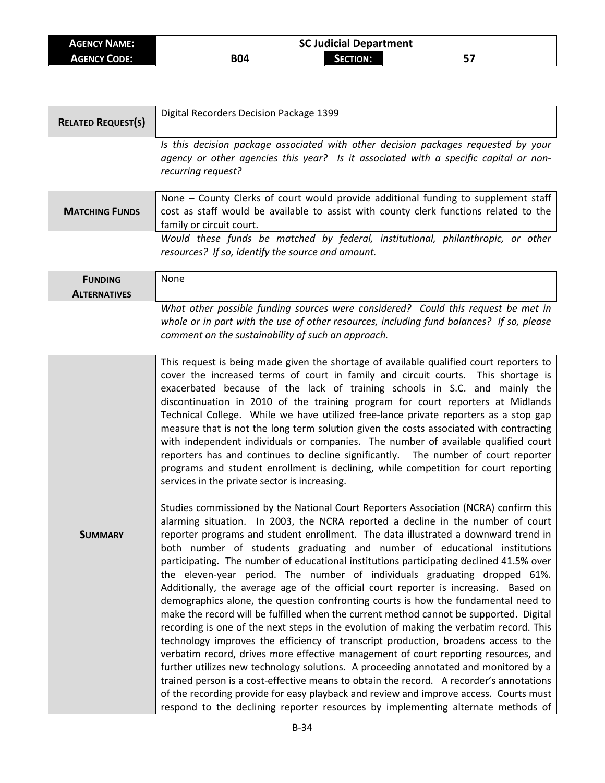| <b>AGENCY NAME:</b> | <b>SC Judicial Department</b> |                      |  |
|---------------------|-------------------------------|----------------------|--|
| <b>AGENCY CODE:</b> | <b>B04</b>                    | <b>CTION:</b><br>лто |  |

| <b>RELATED REQUEST(S)</b>             | Digital Recorders Decision Package 1399                                                                                                                                                                                                                                                                                                                                                                                                                                                                                                                                                                                                                                                                                                                                                                                                                                                                                                                                                                                                                                                                                                                                                                                                                                                                                                                                                                                             |  |  |
|---------------------------------------|-------------------------------------------------------------------------------------------------------------------------------------------------------------------------------------------------------------------------------------------------------------------------------------------------------------------------------------------------------------------------------------------------------------------------------------------------------------------------------------------------------------------------------------------------------------------------------------------------------------------------------------------------------------------------------------------------------------------------------------------------------------------------------------------------------------------------------------------------------------------------------------------------------------------------------------------------------------------------------------------------------------------------------------------------------------------------------------------------------------------------------------------------------------------------------------------------------------------------------------------------------------------------------------------------------------------------------------------------------------------------------------------------------------------------------------|--|--|
|                                       | Is this decision package associated with other decision packages requested by your<br>agency or other agencies this year? Is it associated with a specific capital or non-<br>recurring request?                                                                                                                                                                                                                                                                                                                                                                                                                                                                                                                                                                                                                                                                                                                                                                                                                                                                                                                                                                                                                                                                                                                                                                                                                                    |  |  |
| <b>MATCHING FUNDS</b>                 | None - County Clerks of court would provide additional funding to supplement staff<br>cost as staff would be available to assist with county clerk functions related to the<br>family or circuit court.                                                                                                                                                                                                                                                                                                                                                                                                                                                                                                                                                                                                                                                                                                                                                                                                                                                                                                                                                                                                                                                                                                                                                                                                                             |  |  |
|                                       | Would these funds be matched by federal, institutional, philanthropic, or other<br>resources? If so, identify the source and amount.                                                                                                                                                                                                                                                                                                                                                                                                                                                                                                                                                                                                                                                                                                                                                                                                                                                                                                                                                                                                                                                                                                                                                                                                                                                                                                |  |  |
| <b>FUNDING</b><br><b>ALTERNATIVES</b> | None                                                                                                                                                                                                                                                                                                                                                                                                                                                                                                                                                                                                                                                                                                                                                                                                                                                                                                                                                                                                                                                                                                                                                                                                                                                                                                                                                                                                                                |  |  |
|                                       | What other possible funding sources were considered? Could this request be met in<br>whole or in part with the use of other resources, including fund balances? If so, please<br>comment on the sustainability of such an approach.                                                                                                                                                                                                                                                                                                                                                                                                                                                                                                                                                                                                                                                                                                                                                                                                                                                                                                                                                                                                                                                                                                                                                                                                 |  |  |
|                                       | This request is being made given the shortage of available qualified court reporters to<br>cover the increased terms of court in family and circuit courts. This shortage is<br>exacerbated because of the lack of training schools in S.C. and mainly the<br>discontinuation in 2010 of the training program for court reporters at Midlands<br>Technical College. While we have utilized free-lance private reporters as a stop gap<br>measure that is not the long term solution given the costs associated with contracting<br>with independent individuals or companies. The number of available qualified court<br>reporters has and continues to decline significantly. The number of court reporter<br>programs and student enrollment is declining, while competition for court reporting<br>services in the private sector is increasing.                                                                                                                                                                                                                                                                                                                                                                                                                                                                                                                                                                                 |  |  |
| <b>SUMMARY</b>                        | Studies commissioned by the National Court Reporters Association (NCRA) confirm this<br>alarming situation. In 2003, the NCRA reported a decline in the number of court<br>reporter programs and student enrollment. The data illustrated a downward trend in<br>both number of students graduating and number of educational institutions<br>participating. The number of educational institutions participating declined 41.5% over<br>the eleven-year period. The number of individuals graduating dropped 61%.<br>Additionally, the average age of the official court reporter is increasing. Based on<br>demographics alone, the question confronting courts is how the fundamental need to<br>make the record will be fulfilled when the current method cannot be supported. Digital<br>recording is one of the next steps in the evolution of making the verbatim record. This<br>technology improves the efficiency of transcript production, broadens access to the<br>verbatim record, drives more effective management of court reporting resources, and<br>further utilizes new technology solutions. A proceeding annotated and monitored by a<br>trained person is a cost-effective means to obtain the record. A recorder's annotations<br>of the recording provide for easy playback and review and improve access. Courts must<br>respond to the declining reporter resources by implementing alternate methods of |  |  |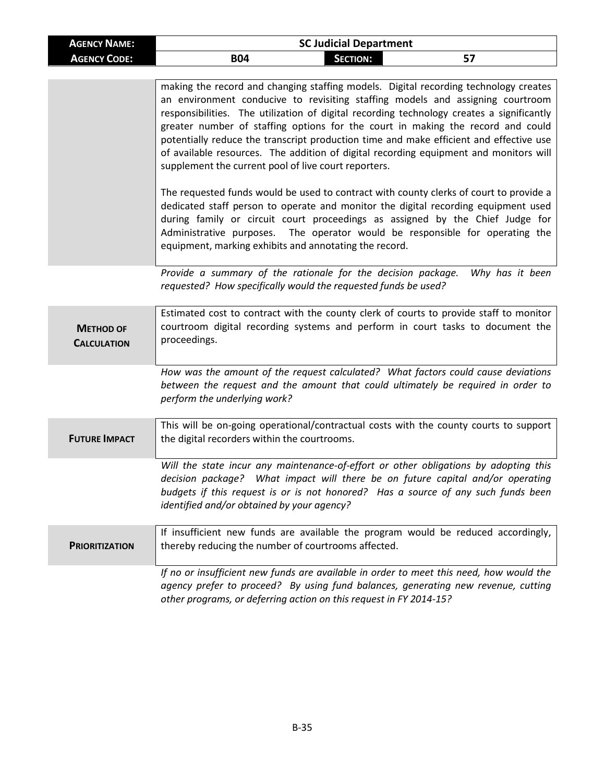| <b>AGENCY NAME:</b> | <b>SC Judicial Department</b> |                 |    |  |
|---------------------|-------------------------------|-----------------|----|--|
| <b>AGENCY CODE:</b> | <b>B04</b>                    | <b>SECTION:</b> | 57 |  |

|                                        | making the record and changing staffing models. Digital recording technology creates<br>an environment conducive to revisiting staffing models and assigning courtroom<br>responsibilities. The utilization of digital recording technology creates a significantly<br>greater number of staffing options for the court in making the record and could<br>potentially reduce the transcript production time and make efficient and effective use<br>of available resources. The addition of digital recording equipment and monitors will<br>supplement the current pool of live court reporters. |
|----------------------------------------|---------------------------------------------------------------------------------------------------------------------------------------------------------------------------------------------------------------------------------------------------------------------------------------------------------------------------------------------------------------------------------------------------------------------------------------------------------------------------------------------------------------------------------------------------------------------------------------------------|
|                                        | The requested funds would be used to contract with county clerks of court to provide a<br>dedicated staff person to operate and monitor the digital recording equipment used<br>during family or circuit court proceedings as assigned by the Chief Judge for<br>Administrative purposes. The operator would be responsible for operating the<br>equipment, marking exhibits and annotating the record.                                                                                                                                                                                           |
|                                        | Provide a summary of the rationale for the decision package.<br>Why has it been<br>requested? How specifically would the requested funds be used?                                                                                                                                                                                                                                                                                                                                                                                                                                                 |
| <b>METHOD OF</b><br><b>CALCULATION</b> | Estimated cost to contract with the county clerk of courts to provide staff to monitor<br>courtroom digital recording systems and perform in court tasks to document the<br>proceedings.                                                                                                                                                                                                                                                                                                                                                                                                          |
|                                        | How was the amount of the request calculated? What factors could cause deviations<br>between the request and the amount that could ultimately be required in order to<br>perform the underlying work?                                                                                                                                                                                                                                                                                                                                                                                             |
| <b>FUTURE IMPACT</b>                   | This will be on-going operational/contractual costs with the county courts to support<br>the digital recorders within the courtrooms.                                                                                                                                                                                                                                                                                                                                                                                                                                                             |
|                                        | Will the state incur any maintenance-of-effort or other obligations by adopting this<br>decision package? What impact will there be on future capital and/or operating<br>budgets if this request is or is not honored? Has a source of any such funds been<br>identified and/or obtained by your agency?                                                                                                                                                                                                                                                                                         |
| <b>PRIORITIZATION</b>                  | If insufficient new funds are available the program would be reduced accordingly,<br>thereby reducing the number of courtrooms affected.                                                                                                                                                                                                                                                                                                                                                                                                                                                          |
|                                        | If no or insufficient new funds are available in order to meet this need, how would the<br>agency prefer to proceed? By using fund balances, generating new revenue, cutting<br>other programs, or deferring action on this request in FY 2014-15?                                                                                                                                                                                                                                                                                                                                                |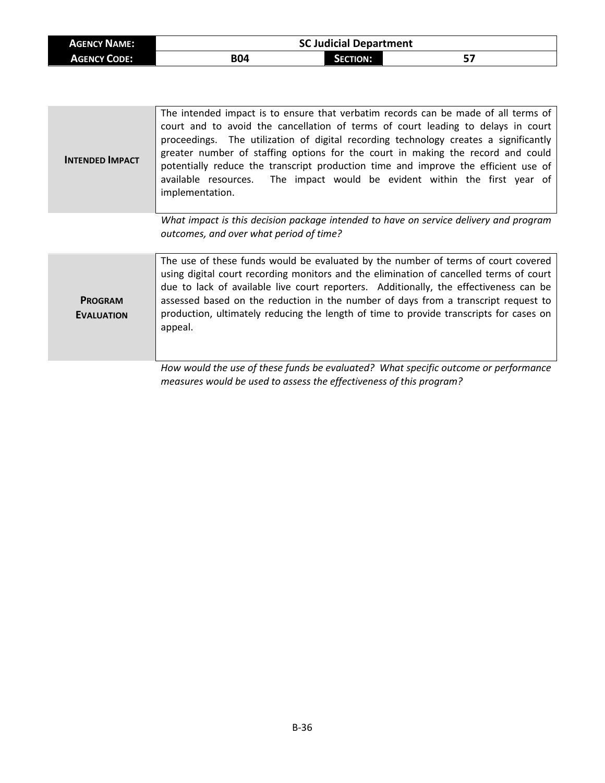| <b>AGENCY NAME:</b> | <b>SC Judicial Department</b> |                 |  |
|---------------------|-------------------------------|-----------------|--|
| <b>AGENCY CODE:</b> | B04                           | <b>SECTION:</b> |  |

| <b>INTENDED IMPACT</b> | The intended impact is to ensure that verbatim records can be made of all terms of<br>court and to avoid the cancellation of terms of court leading to delays in court<br>proceedings. The utilization of digital recording technology creates a significantly<br>greater number of staffing options for the court in making the record and could<br>potentially reduce the transcript production time and improve the efficient use of<br>The impact would be evident within the first year of<br>available resources.<br>implementation. |
|------------------------|--------------------------------------------------------------------------------------------------------------------------------------------------------------------------------------------------------------------------------------------------------------------------------------------------------------------------------------------------------------------------------------------------------------------------------------------------------------------------------------------------------------------------------------------|
|                        | What impact is this decision package intended to have on service delivery and program<br>outcomes, and over what period of time?                                                                                                                                                                                                                                                                                                                                                                                                           |
| <b>PROGRAM</b>         | The use of these funds would be evaluated by the number of terms of court covered<br>using digital court recording monitors and the elimination of cancelled terms of court<br>due to lack of available live court reporters. Additionally, the effectiveness can be<br>assessed based on the reduction in the number of days from a transcript request to                                                                                                                                                                                 |

**EVALUATION**

appeal.

*How would the use of these funds be evaluated? What specific outcome or performance measures would be used to assess the effectiveness of this program?*

production, ultimately reducing the length of time to provide transcripts for cases on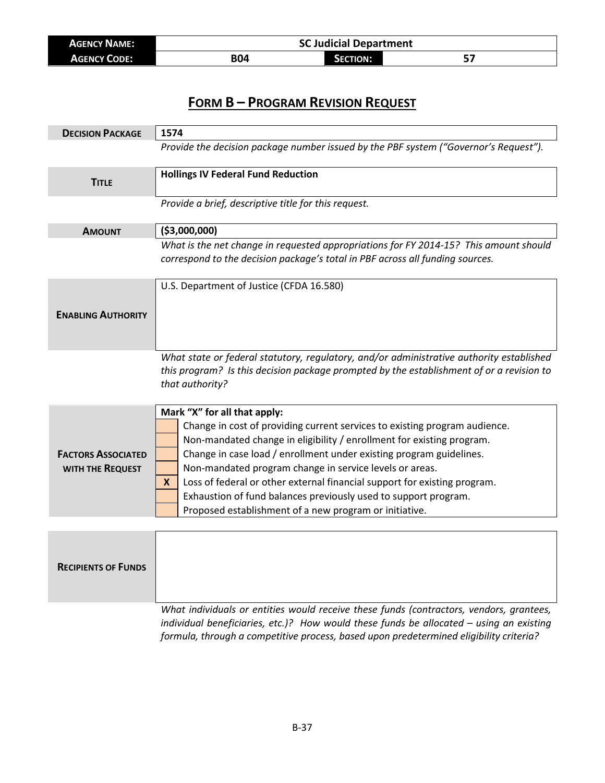| <b>AGENCY NAME:</b> | <b>SC Judicial Department</b> |                 |  |
|---------------------|-------------------------------|-----------------|--|
| <b>AGENCY CODE:</b> | B04                           | <b>SECTION:</b> |  |

| <b>DECISION PACKAGE</b>    | 1574                                                                                                                                                                                                    |
|----------------------------|---------------------------------------------------------------------------------------------------------------------------------------------------------------------------------------------------------|
|                            | Provide the decision package number issued by the PBF system ("Governor's Request").                                                                                                                    |
| <b>TITLE</b>               | <b>Hollings IV Federal Fund Reduction</b>                                                                                                                                                               |
|                            | Provide a brief, descriptive title for this request.                                                                                                                                                    |
| <b>AMOUNT</b>              | ( \$3,000,000)                                                                                                                                                                                          |
|                            | What is the net change in requested appropriations for FY 2014-15? This amount should<br>correspond to the decision package's total in PBF across all funding sources.                                  |
|                            | U.S. Department of Justice (CFDA 16.580)                                                                                                                                                                |
| <b>ENABLING AUTHORITY</b>  |                                                                                                                                                                                                         |
|                            |                                                                                                                                                                                                         |
|                            |                                                                                                                                                                                                         |
|                            | What state or federal statutory, regulatory, and/or administrative authority established<br>this program? Is this decision package prompted by the establishment of or a revision to<br>that authority? |
|                            | Mark "X" for all that apply:                                                                                                                                                                            |
|                            | Change in cost of providing current services to existing program audience.                                                                                                                              |
|                            | Non-mandated change in eligibility / enrollment for existing program.                                                                                                                                   |
| <b>FACTORS ASSOCIATED</b>  | Change in case load / enrollment under existing program guidelines.                                                                                                                                     |
| WITH THE REQUEST           | Non-mandated program change in service levels or areas.                                                                                                                                                 |
|                            | Loss of federal or other external financial support for existing program.<br>$\mathbf{x}$                                                                                                               |
|                            | Exhaustion of fund balances previously used to support program.                                                                                                                                         |
|                            | Proposed establishment of a new program or initiative.                                                                                                                                                  |
|                            |                                                                                                                                                                                                         |
| <b>RECIPIENTS OF FUNDS</b> |                                                                                                                                                                                                         |

*What individuals or entities would receive these funds (contractors, vendors, grantees, individual beneficiaries, etc.)? How would these funds be allocated – using an existing formula, through a competitive process, based upon predetermined eligibility criteria?*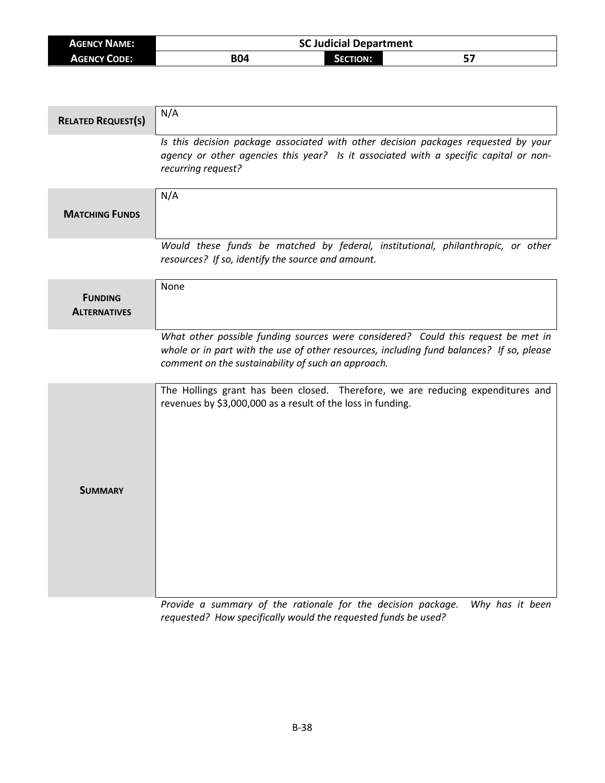| <b>AGENCY NAME:</b> | <b>SC Judicial Department</b> |          |    |
|---------------------|-------------------------------|----------|----|
| <b>AGENCY CODE:</b> | B04                           | SECTION: | E5 |

| <b>RELATED REQUEST(S)</b>             | N/A                                                                                                                                                                                                                                 |
|---------------------------------------|-------------------------------------------------------------------------------------------------------------------------------------------------------------------------------------------------------------------------------------|
|                                       | Is this decision package associated with other decision packages requested by your<br>agency or other agencies this year? Is it associated with a specific capital or non-<br>recurring request?                                    |
| <b>MATCHING FUNDS</b>                 | N/A                                                                                                                                                                                                                                 |
|                                       | Would these funds be matched by federal, institutional, philanthropic, or other<br>resources? If so, identify the source and amount.                                                                                                |
| <b>FUNDING</b><br><b>ALTERNATIVES</b> | None                                                                                                                                                                                                                                |
|                                       | What other possible funding sources were considered? Could this request be met in<br>whole or in part with the use of other resources, including fund balances? If so, please<br>comment on the sustainability of such an approach. |
| <b>SUMMARY</b>                        | The Hollings grant has been closed. Therefore, we are reducing expenditures and<br>revenues by \$3,000,000 as a result of the loss in funding.                                                                                      |

*Provide a summary of the rationale for the decision package. Why has it been requested? How specifically would the requested funds be used?*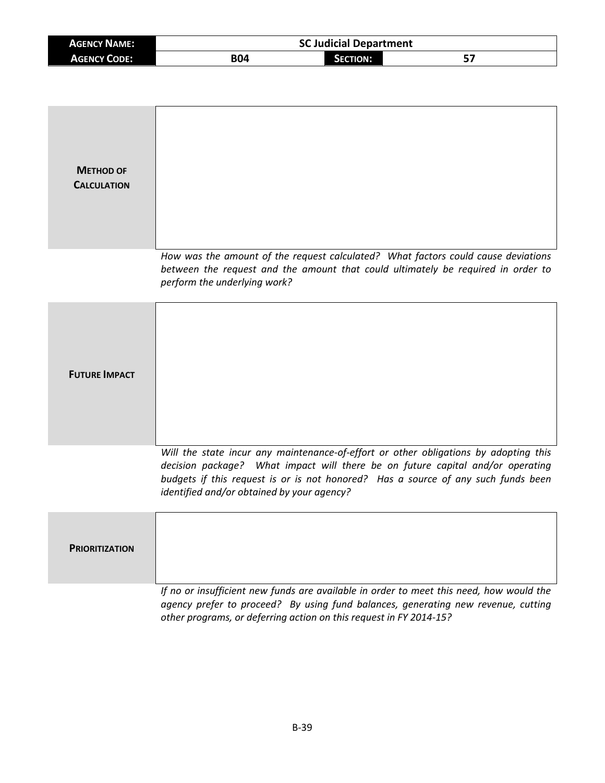| <b>AGENCY NAME:</b> | <b>SC Judicial Department</b> |                 |  |
|---------------------|-------------------------------|-----------------|--|
| <b>AGENCY CODE:</b> | B04                           | <b>SECTION:</b> |  |

| <b>METHOD OF</b><br><b>CALCULATION</b> |                                                                                                                                                                                                                                                                                                           |
|----------------------------------------|-----------------------------------------------------------------------------------------------------------------------------------------------------------------------------------------------------------------------------------------------------------------------------------------------------------|
|                                        | How was the amount of the request calculated? What factors could cause deviations<br>between the request and the amount that could ultimately be required in order to<br>perform the underlying work?                                                                                                     |
| <b>FUTURE IMPACT</b>                   |                                                                                                                                                                                                                                                                                                           |
|                                        | Will the state incur any maintenance-of-effort or other obligations by adopting this<br>decision package? What impact will there be on future capital and/or operating<br>budgets if this request is or is not honored? Has a source of any such funds been<br>identified and/or obtained by your agency? |
| <b>PRIORITIZATION</b>                  |                                                                                                                                                                                                                                                                                                           |
|                                        | If no or insufficient new funds are available in order to meet this need, how would the<br>agency prefer to proceed? By using fund balances, generating new revenue, cutting<br>other programs, or deferring action on this request in FY 2014-15?                                                        |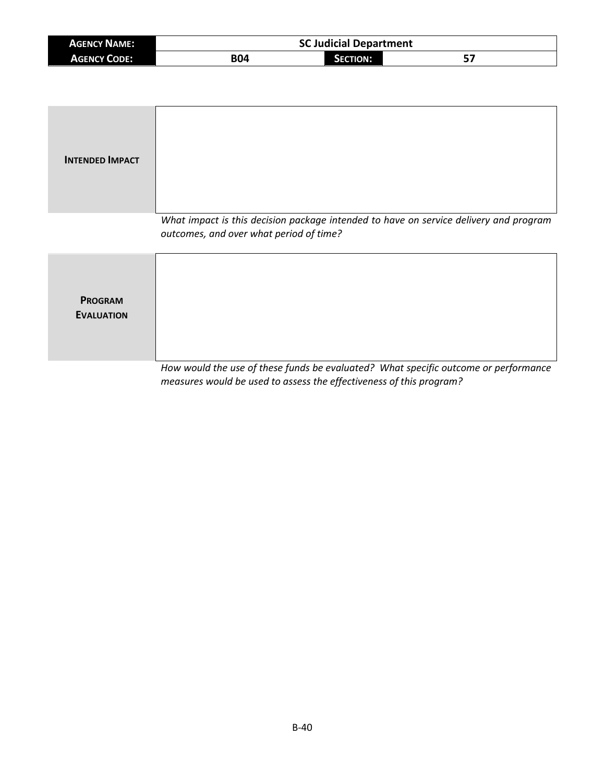| <b>AGENCY NAME:</b> | <b>SC Judicial Department</b> |                 |  |
|---------------------|-------------------------------|-----------------|--|
| <b>AGENCY CODE:</b> | B04                           | <b>SECTION:</b> |  |

| <b>INTENDED IMPACT</b>              |                                                                                                                                  |
|-------------------------------------|----------------------------------------------------------------------------------------------------------------------------------|
|                                     | What impact is this decision package intended to have on service delivery and program<br>outcomes, and over what period of time? |
| <b>PROGRAM</b><br><b>EVALUATION</b> | How would the use of these funds he ovaluated? What specific outcome or norformance                                              |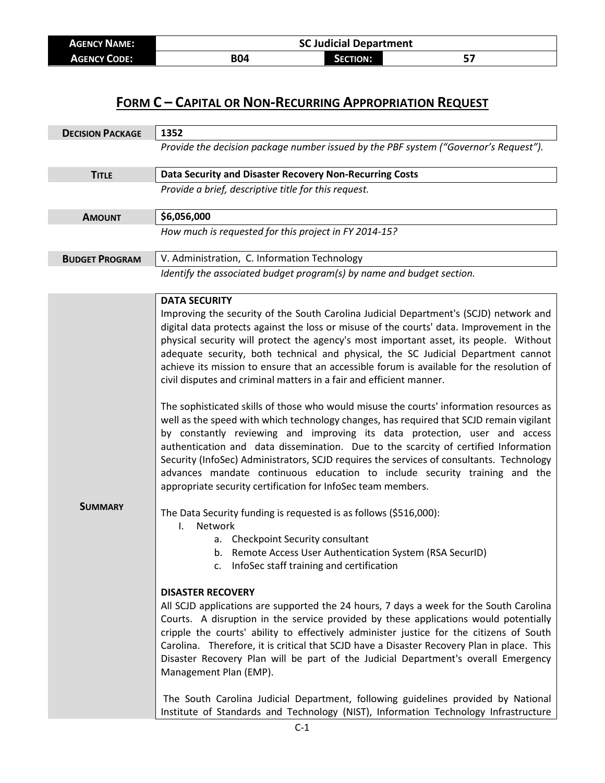| <b>AGENCY NAME:</b> | <b>SC Judicial Department</b> |  |  |  |
|---------------------|-------------------------------|--|--|--|
| <b>AGENCY CODE:</b> | <b>B04</b><br><b>SECTION:</b> |  |  |  |

| <b>DECISION PACKAGE</b> | 1352                                                                                                                                                                                                                                                                                                                                                                                                                                                                                                                                                                                                                                                                                            |  |  |
|-------------------------|-------------------------------------------------------------------------------------------------------------------------------------------------------------------------------------------------------------------------------------------------------------------------------------------------------------------------------------------------------------------------------------------------------------------------------------------------------------------------------------------------------------------------------------------------------------------------------------------------------------------------------------------------------------------------------------------------|--|--|
|                         | Provide the decision package number issued by the PBF system ("Governor's Request").                                                                                                                                                                                                                                                                                                                                                                                                                                                                                                                                                                                                            |  |  |
| <b>TITLE</b>            | Data Security and Disaster Recovery Non-Recurring Costs                                                                                                                                                                                                                                                                                                                                                                                                                                                                                                                                                                                                                                         |  |  |
|                         | Provide a brief, descriptive title for this request.                                                                                                                                                                                                                                                                                                                                                                                                                                                                                                                                                                                                                                            |  |  |
| <b>AMOUNT</b>           | \$6,056,000                                                                                                                                                                                                                                                                                                                                                                                                                                                                                                                                                                                                                                                                                     |  |  |
|                         | How much is requested for this project in FY 2014-15?                                                                                                                                                                                                                                                                                                                                                                                                                                                                                                                                                                                                                                           |  |  |
| <b>BUDGET PROGRAM</b>   | V. Administration, C. Information Technology                                                                                                                                                                                                                                                                                                                                                                                                                                                                                                                                                                                                                                                    |  |  |
|                         | Identify the associated budget program(s) by name and budget section.                                                                                                                                                                                                                                                                                                                                                                                                                                                                                                                                                                                                                           |  |  |
|                         | <b>DATA SECURITY</b>                                                                                                                                                                                                                                                                                                                                                                                                                                                                                                                                                                                                                                                                            |  |  |
|                         | Improving the security of the South Carolina Judicial Department's (SCJD) network and<br>digital data protects against the loss or misuse of the courts' data. Improvement in the<br>physical security will protect the agency's most important asset, its people. Without<br>adequate security, both technical and physical, the SC Judicial Department cannot<br>achieve its mission to ensure that an accessible forum is available for the resolution of<br>civil disputes and criminal matters in a fair and efficient manner.                                                                                                                                                             |  |  |
|                         | The sophisticated skills of those who would misuse the courts' information resources as<br>well as the speed with which technology changes, has required that SCJD remain vigilant<br>by constantly reviewing and improving its data protection, user and access<br>authentication and data dissemination. Due to the scarcity of certified Information<br>Security (InfoSec) Administrators, SCJD requires the services of consultants. Technology<br>advances mandate continuous education to include security training and the<br>appropriate security certification for InfoSec team members.                                                                                               |  |  |
| <b>SUMMARY</b>          | The Data Security funding is requested is as follows (\$516,000):<br>Network<br>I.<br>a. Checkpoint Security consultant<br>b. Remote Access User Authentication System (RSA SecurID)<br>InfoSec staff training and certification                                                                                                                                                                                                                                                                                                                                                                                                                                                                |  |  |
|                         | <b>DISASTER RECOVERY</b><br>All SCJD applications are supported the 24 hours, 7 days a week for the South Carolina<br>Courts. A disruption in the service provided by these applications would potentially<br>cripple the courts' ability to effectively administer justice for the citizens of South<br>Carolina. Therefore, it is critical that SCJD have a Disaster Recovery Plan in place. This<br>Disaster Recovery Plan will be part of the Judicial Department's overall Emergency<br>Management Plan (EMP).<br>The South Carolina Judicial Department, following guidelines provided by National<br>Institute of Standards and Technology (NIST), Information Technology Infrastructure |  |  |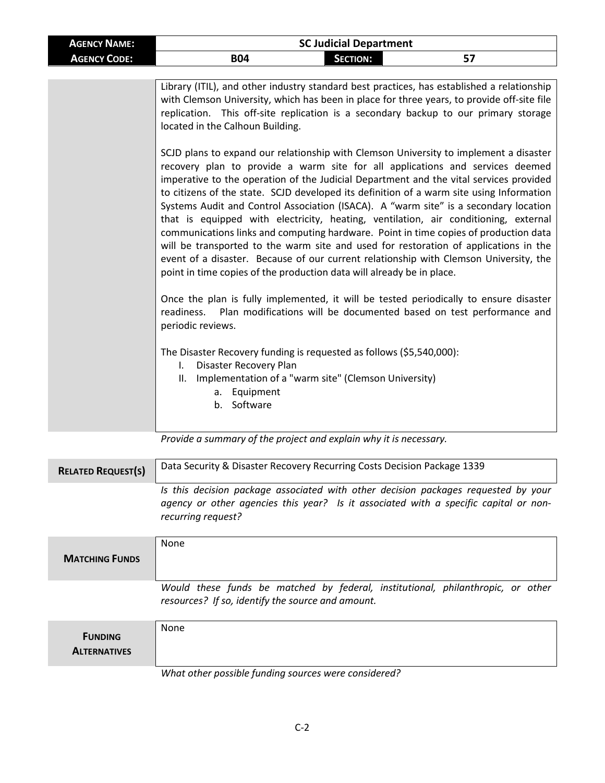| <b>AGENCY NAME:</b> | <b>SC Judicial Department</b>                                                                                                                                                                                                                                                                                                                                                                                                                                                                                                                                                                                                                                                                                                                                                                                                                                                                 |                 |                                                                     |
|---------------------|-----------------------------------------------------------------------------------------------------------------------------------------------------------------------------------------------------------------------------------------------------------------------------------------------------------------------------------------------------------------------------------------------------------------------------------------------------------------------------------------------------------------------------------------------------------------------------------------------------------------------------------------------------------------------------------------------------------------------------------------------------------------------------------------------------------------------------------------------------------------------------------------------|-----------------|---------------------------------------------------------------------|
| <b>AGENCY CODE:</b> | <b>B04</b>                                                                                                                                                                                                                                                                                                                                                                                                                                                                                                                                                                                                                                                                                                                                                                                                                                                                                    | <b>SECTION:</b> | 57                                                                  |
|                     |                                                                                                                                                                                                                                                                                                                                                                                                                                                                                                                                                                                                                                                                                                                                                                                                                                                                                               |                 |                                                                     |
|                     | Library (ITIL), and other industry standard best practices, has established a relationship<br>with Clemson University, which has been in place for three years, to provide off-site file<br>replication. This off-site replication is a secondary backup to our primary storage<br>located in the Calhoun Building.                                                                                                                                                                                                                                                                                                                                                                                                                                                                                                                                                                           |                 |                                                                     |
|                     | SCJD plans to expand our relationship with Clemson University to implement a disaster<br>recovery plan to provide a warm site for all applications and services deemed<br>imperative to the operation of the Judicial Department and the vital services provided<br>to citizens of the state. SCJD developed its definition of a warm site using Information<br>Systems Audit and Control Association (ISACA). A "warm site" is a secondary location<br>that is equipped with electricity, heating, ventilation, air conditioning, external<br>communications links and computing hardware. Point in time copies of production data<br>will be transported to the warm site and used for restoration of applications in the<br>event of a disaster. Because of our current relationship with Clemson University, the<br>point in time copies of the production data will already be in place. |                 |                                                                     |
|                     | Once the plan is fully implemented, it will be tested periodically to ensure disaster<br>readiness.<br>periodic reviews.                                                                                                                                                                                                                                                                                                                                                                                                                                                                                                                                                                                                                                                                                                                                                                      |                 | Plan modifications will be documented based on test performance and |
|                     | The Disaster Recovery funding is requested as follows (\$5,540,000):<br>Disaster Recovery Plan<br>$\mathsf{L}$<br>Implementation of a "warm site" (Clemson University)<br>II.<br>a. Equipment<br>b. Software                                                                                                                                                                                                                                                                                                                                                                                                                                                                                                                                                                                                                                                                                  |                 |                                                                     |

*Provide a summary of the project and explain why it is necessary.*

| <b>RELATED REQUEST(S)</b> | Data Security & Disaster Recovery Recurring Costs Decision Package 1339                                                                                                                          |  |
|---------------------------|--------------------------------------------------------------------------------------------------------------------------------------------------------------------------------------------------|--|
|                           | Is this decision package associated with other decision packages requested by your<br>agency or other agencies this year? Is it associated with a specific capital or non-<br>recurring request? |  |

| <b>MATCHING FUNDS</b>                 | <b>None</b>                                                                                                                          |
|---------------------------------------|--------------------------------------------------------------------------------------------------------------------------------------|
|                                       | Would these funds be matched by federal, institutional, philanthropic, or other<br>resources? If so, identify the source and amount. |
| <b>FUNDING</b><br><b>ALTERNATIVES</b> | None                                                                                                                                 |

#### *What other possible funding sources were considered?*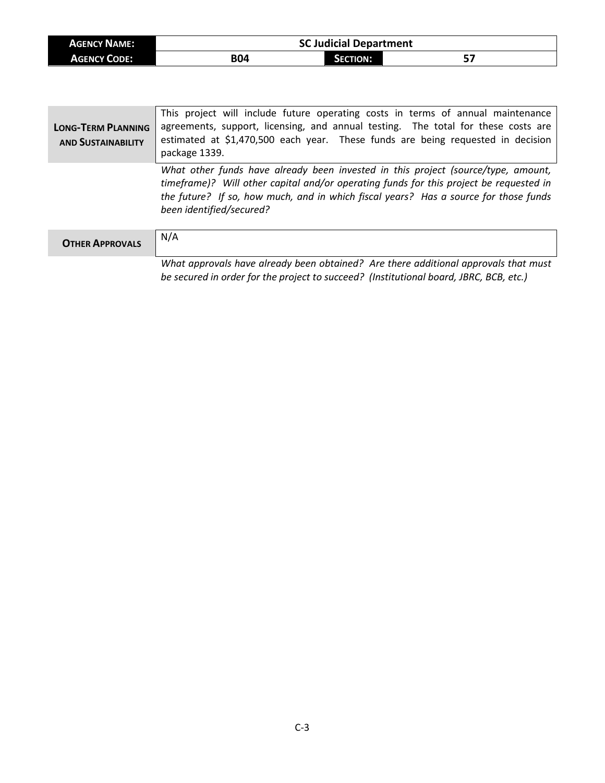| <b>AGENCY NAME:</b> | <b>SC Judicial Department</b> |                 |  |
|---------------------|-------------------------------|-----------------|--|
| <b>AGENCY CODE:</b> | <b>B04</b>                    | <b>SECTION:</b> |  |

| <b>LONG-TERM PLANNING</b><br><b>AND SUSTAINABILITY</b> | This project will include future operating costs in terms of annual maintenance<br>agreements, support, licensing, and annual testing. The total for these costs are<br>estimated at \$1,470,500 each year. These funds are being requested in decision<br>package 1339.                        |
|--------------------------------------------------------|-------------------------------------------------------------------------------------------------------------------------------------------------------------------------------------------------------------------------------------------------------------------------------------------------|
|                                                        | What other funds have already been invested in this project (source/type, amount,<br>timeframe)? Will other capital and/or operating funds for this project be requested in<br>the future? If so, how much, and in which fiscal years? Has a source for those funds<br>been identified/secured? |
| <b>OTHER APPROVALS</b>                                 | N/A                                                                                                                                                                                                                                                                                             |
|                                                        | What approvals have already been obtained? Are there additional approvals that must<br>be secured in order for the project to succeed? (Institutional board, JBRC, BCB, etc.)                                                                                                                   |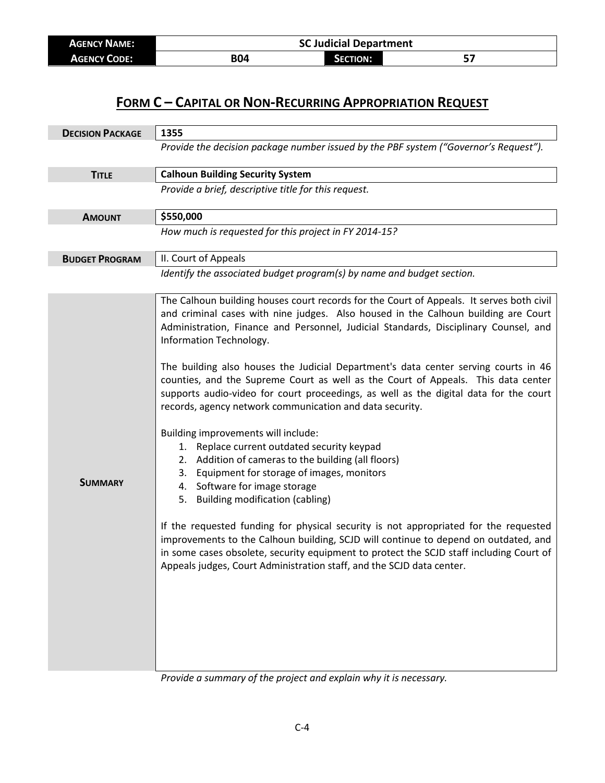| <b>AGENCY NAME:</b> | <b>SC Judicial Department</b> |                 |  |
|---------------------|-------------------------------|-----------------|--|
| <b>AGENCY CODE:</b> | B04                           | <b>SECTION:</b> |  |

| <b>DECISION PACKAGE</b> | 1355                                                                                                                                                                                                                                                                                                                                                                                                                                                                                                                                                                                                                                                                                                                                                                                                                                                                                                                                                                                                                                                                                                                                                                                                                                                                   |  |  |
|-------------------------|------------------------------------------------------------------------------------------------------------------------------------------------------------------------------------------------------------------------------------------------------------------------------------------------------------------------------------------------------------------------------------------------------------------------------------------------------------------------------------------------------------------------------------------------------------------------------------------------------------------------------------------------------------------------------------------------------------------------------------------------------------------------------------------------------------------------------------------------------------------------------------------------------------------------------------------------------------------------------------------------------------------------------------------------------------------------------------------------------------------------------------------------------------------------------------------------------------------------------------------------------------------------|--|--|
|                         | Provide the decision package number issued by the PBF system ("Governor's Request").                                                                                                                                                                                                                                                                                                                                                                                                                                                                                                                                                                                                                                                                                                                                                                                                                                                                                                                                                                                                                                                                                                                                                                                   |  |  |
| <b>TITLE</b>            | <b>Calhoun Building Security System</b>                                                                                                                                                                                                                                                                                                                                                                                                                                                                                                                                                                                                                                                                                                                                                                                                                                                                                                                                                                                                                                                                                                                                                                                                                                |  |  |
|                         | Provide a brief, descriptive title for this request.                                                                                                                                                                                                                                                                                                                                                                                                                                                                                                                                                                                                                                                                                                                                                                                                                                                                                                                                                                                                                                                                                                                                                                                                                   |  |  |
| <b>AMOUNT</b>           | \$550,000                                                                                                                                                                                                                                                                                                                                                                                                                                                                                                                                                                                                                                                                                                                                                                                                                                                                                                                                                                                                                                                                                                                                                                                                                                                              |  |  |
|                         | How much is requested for this project in FY 2014-15?                                                                                                                                                                                                                                                                                                                                                                                                                                                                                                                                                                                                                                                                                                                                                                                                                                                                                                                                                                                                                                                                                                                                                                                                                  |  |  |
| <b>BUDGET PROGRAM</b>   | II. Court of Appeals                                                                                                                                                                                                                                                                                                                                                                                                                                                                                                                                                                                                                                                                                                                                                                                                                                                                                                                                                                                                                                                                                                                                                                                                                                                   |  |  |
|                         | Identify the associated budget program(s) by name and budget section.                                                                                                                                                                                                                                                                                                                                                                                                                                                                                                                                                                                                                                                                                                                                                                                                                                                                                                                                                                                                                                                                                                                                                                                                  |  |  |
| <b>SUMMARY</b>          | The Calhoun building houses court records for the Court of Appeals. It serves both civil<br>and criminal cases with nine judges. Also housed in the Calhoun building are Court<br>Administration, Finance and Personnel, Judicial Standards, Disciplinary Counsel, and<br>Information Technology.<br>The building also houses the Judicial Department's data center serving courts in 46<br>counties, and the Supreme Court as well as the Court of Appeals. This data center<br>supports audio-video for court proceedings, as well as the digital data for the court<br>records, agency network communication and data security.<br>Building improvements will include:<br>1. Replace current outdated security keypad<br>2. Addition of cameras to the building (all floors)<br>Equipment for storage of images, monitors<br>3.<br>4. Software for image storage<br><b>Building modification (cabling)</b><br>5.<br>If the requested funding for physical security is not appropriated for the requested<br>improvements to the Calhoun building, SCJD will continue to depend on outdated, and<br>in some cases obsolete, security equipment to protect the SCJD staff including Court of<br>Appeals judges, Court Administration staff, and the SCJD data center. |  |  |

*Provide a summary of the project and explain why it is necessary.*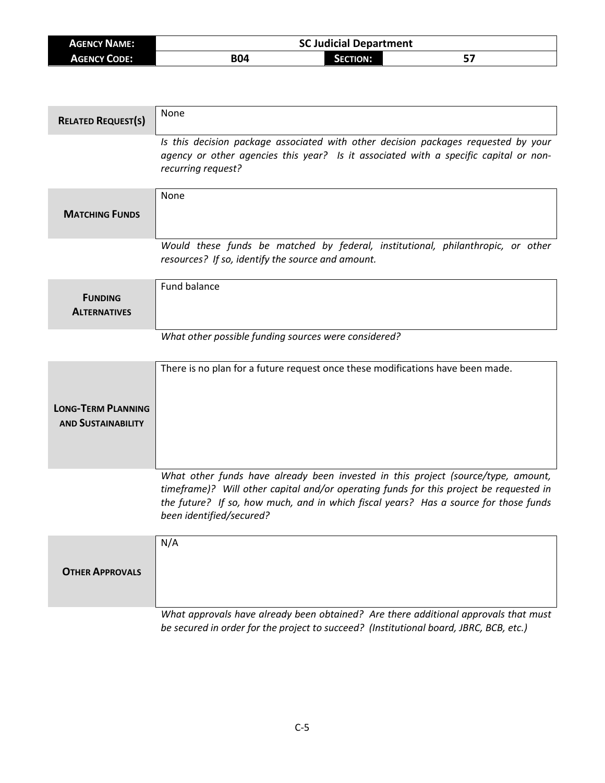| <b>AGENCY NAME:</b> |            | <b>SC Judicial Department</b> |  |
|---------------------|------------|-------------------------------|--|
| <b>AGENCY CODE:</b> | <b>B04</b> | SECTION:                      |  |

| <b>RELATED REQUEST(S)</b>                              | None                                                                                                                                                                                                                                                                                            |
|--------------------------------------------------------|-------------------------------------------------------------------------------------------------------------------------------------------------------------------------------------------------------------------------------------------------------------------------------------------------|
|                                                        | Is this decision package associated with other decision packages requested by your<br>agency or other agencies this year? Is it associated with a specific capital or non-<br>recurring request?                                                                                                |
| <b>MATCHING FUNDS</b>                                  | None                                                                                                                                                                                                                                                                                            |
|                                                        | Would these funds be matched by federal, institutional, philanthropic, or other<br>resources? If so, identify the source and amount.                                                                                                                                                            |
| <b>FUNDING</b><br><b>ALTERNATIVES</b>                  | Fund balance                                                                                                                                                                                                                                                                                    |
|                                                        | What other possible funding sources were considered?                                                                                                                                                                                                                                            |
| <b>LONG-TERM PLANNING</b><br><b>AND SUSTAINABILITY</b> | There is no plan for a future request once these modifications have been made.                                                                                                                                                                                                                  |
|                                                        | What other funds have already been invested in this project (source/type, amount,<br>timeframe)? Will other capital and/or operating funds for this project be requested in<br>the future? If so, how much, and in which fiscal years? Has a source for those funds<br>been identified/secured? |
| <b>OTHER APPROVALS</b>                                 | N/A                                                                                                                                                                                                                                                                                             |
|                                                        | What approvals have already been obtained? Are there additional approvals that must<br>be secured in order for the project to succeed? (Institutional board, JBRC, BCB, etc.)                                                                                                                   |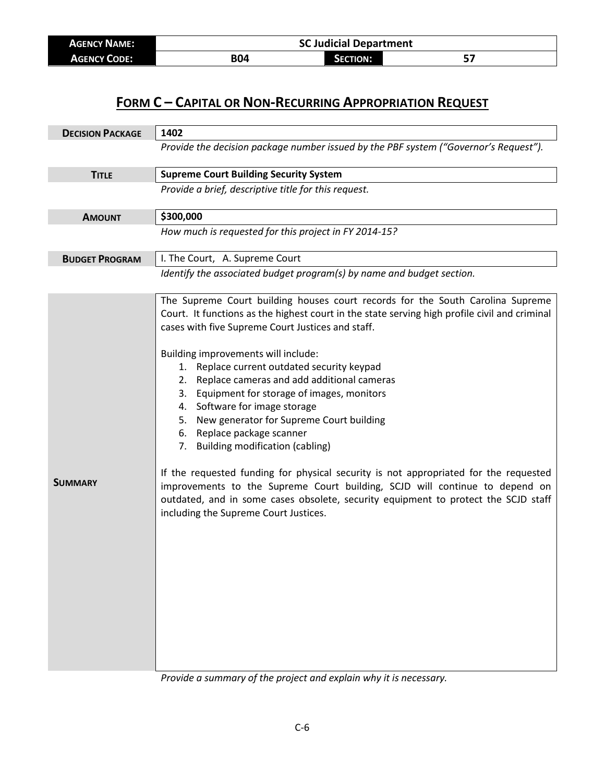| <b>AGENCY NAME:</b> | <b>SC Judicial Department</b> |                 |  |
|---------------------|-------------------------------|-----------------|--|
| <b>AGENCY CODE:</b> | <b>B04</b>                    | <b>SECTION:</b> |  |

| <b>DECISION PACKAGE</b> | 1402                                                                                                                                                                                                                                                                                               |  |
|-------------------------|----------------------------------------------------------------------------------------------------------------------------------------------------------------------------------------------------------------------------------------------------------------------------------------------------|--|
|                         | Provide the decision package number issued by the PBF system ("Governor's Request").                                                                                                                                                                                                               |  |
| <b>TITLE</b>            | <b>Supreme Court Building Security System</b>                                                                                                                                                                                                                                                      |  |
|                         | Provide a brief, descriptive title for this request.                                                                                                                                                                                                                                               |  |
| <b>AMOUNT</b>           | \$300,000                                                                                                                                                                                                                                                                                          |  |
|                         | How much is requested for this project in FY 2014-15?                                                                                                                                                                                                                                              |  |
| <b>BUDGET PROGRAM</b>   | I. The Court, A. Supreme Court                                                                                                                                                                                                                                                                     |  |
|                         | Identify the associated budget program(s) by name and budget section.<br>The Supreme Court building houses court records for the South Carolina Supreme                                                                                                                                            |  |
|                         | Court. It functions as the highest court in the state serving high profile civil and criminal<br>cases with five Supreme Court Justices and staff.                                                                                                                                                 |  |
|                         | Building improvements will include:                                                                                                                                                                                                                                                                |  |
|                         | 1. Replace current outdated security keypad<br>2.                                                                                                                                                                                                                                                  |  |
|                         | Replace cameras and add additional cameras<br>3. Equipment for storage of images, monitors                                                                                                                                                                                                         |  |
|                         | 4. Software for image storage                                                                                                                                                                                                                                                                      |  |
|                         | New generator for Supreme Court building<br>5.                                                                                                                                                                                                                                                     |  |
|                         | 6. Replace package scanner                                                                                                                                                                                                                                                                         |  |
|                         | 7. Building modification (cabling)                                                                                                                                                                                                                                                                 |  |
| <b>SUMMARY</b>          | If the requested funding for physical security is not appropriated for the requested<br>improvements to the Supreme Court building, SCJD will continue to depend on<br>outdated, and in some cases obsolete, security equipment to protect the SCJD staff<br>including the Supreme Court Justices. |  |
|                         |                                                                                                                                                                                                                                                                                                    |  |
|                         |                                                                                                                                                                                                                                                                                                    |  |
|                         |                                                                                                                                                                                                                                                                                                    |  |
|                         |                                                                                                                                                                                                                                                                                                    |  |
|                         |                                                                                                                                                                                                                                                                                                    |  |
|                         |                                                                                                                                                                                                                                                                                                    |  |
|                         |                                                                                                                                                                                                                                                                                                    |  |

*Provide a summary of the project and explain why it is necessary.*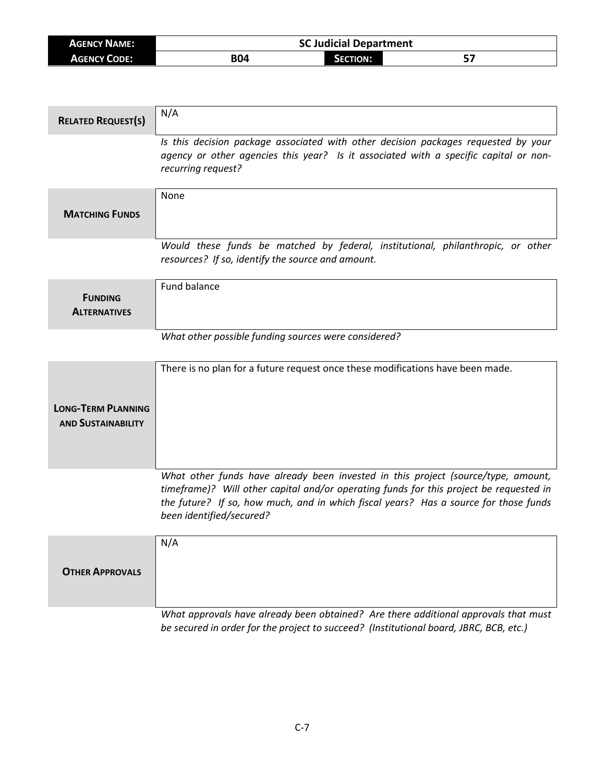| <b>AGENCY NAME:</b> | C Judicial Department |                      |  |
|---------------------|-----------------------|----------------------|--|
| <b>AGENCY CODE:</b> | <b>B04</b>            | <b>CTION:</b><br>יבנ |  |

| <b>RELATED REQUEST(S)</b>                              | N/A                                                                                                                                                                                                                                                                                             |
|--------------------------------------------------------|-------------------------------------------------------------------------------------------------------------------------------------------------------------------------------------------------------------------------------------------------------------------------------------------------|
|                                                        | Is this decision package associated with other decision packages requested by your<br>agency or other agencies this year? Is it associated with a specific capital or non-<br>recurring request?                                                                                                |
| <b>MATCHING FUNDS</b>                                  | <b>None</b>                                                                                                                                                                                                                                                                                     |
|                                                        | Would these funds be matched by federal, institutional, philanthropic, or other<br>resources? If so, identify the source and amount.                                                                                                                                                            |
| <b>FUNDING</b><br><b>ALTERNATIVES</b>                  | Fund balance                                                                                                                                                                                                                                                                                    |
|                                                        | What other possible funding sources were considered?                                                                                                                                                                                                                                            |
| <b>LONG-TERM PLANNING</b><br><b>AND SUSTAINABILITY</b> | There is no plan for a future request once these modifications have been made.                                                                                                                                                                                                                  |
|                                                        | What other funds have already been invested in this project (source/type, amount,<br>timeframe)? Will other capital and/or operating funds for this project be requested in<br>the future? If so, how much, and in which fiscal years? Has a source for those funds<br>been identified/secured? |
| <b>OTHER APPROVALS</b>                                 | N/A                                                                                                                                                                                                                                                                                             |
|                                                        | What approvals have already been obtained? Are there additional approvals that must<br>be secured in order for the project to succeed? (Institutional board, JBRC, BCB, etc.)                                                                                                                   |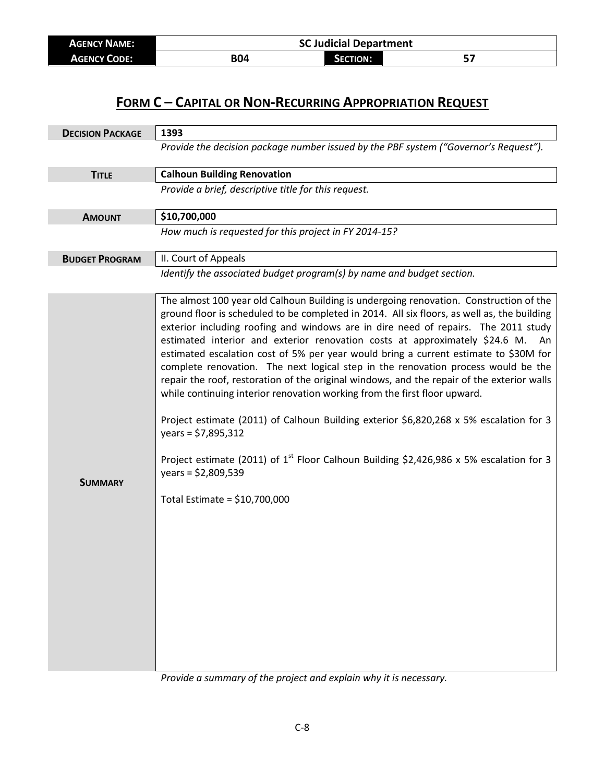| <b>AGENCY NAME:</b> | <b>SC Judicial Department</b> |          |  |
|---------------------|-------------------------------|----------|--|
| <b>AGENCY CODE:</b> | <b>B04</b>                    | Section: |  |

| <b>DECISION PACKAGE</b> | 1393                                                                                                                                                                                                                                                                                                                                                                                                                                                                                                                                                                                                                                                                                                                                                                                                                                                                                                                                                                                                 |  |
|-------------------------|------------------------------------------------------------------------------------------------------------------------------------------------------------------------------------------------------------------------------------------------------------------------------------------------------------------------------------------------------------------------------------------------------------------------------------------------------------------------------------------------------------------------------------------------------------------------------------------------------------------------------------------------------------------------------------------------------------------------------------------------------------------------------------------------------------------------------------------------------------------------------------------------------------------------------------------------------------------------------------------------------|--|
|                         | Provide the decision package number issued by the PBF system ("Governor's Request").                                                                                                                                                                                                                                                                                                                                                                                                                                                                                                                                                                                                                                                                                                                                                                                                                                                                                                                 |  |
| <b>TITLE</b>            | <b>Calhoun Building Renovation</b>                                                                                                                                                                                                                                                                                                                                                                                                                                                                                                                                                                                                                                                                                                                                                                                                                                                                                                                                                                   |  |
|                         | Provide a brief, descriptive title for this request.                                                                                                                                                                                                                                                                                                                                                                                                                                                                                                                                                                                                                                                                                                                                                                                                                                                                                                                                                 |  |
| <b>AMOUNT</b>           | \$10,700,000                                                                                                                                                                                                                                                                                                                                                                                                                                                                                                                                                                                                                                                                                                                                                                                                                                                                                                                                                                                         |  |
|                         | How much is requested for this project in FY 2014-15?                                                                                                                                                                                                                                                                                                                                                                                                                                                                                                                                                                                                                                                                                                                                                                                                                                                                                                                                                |  |
| <b>BUDGET PROGRAM</b>   | II. Court of Appeals                                                                                                                                                                                                                                                                                                                                                                                                                                                                                                                                                                                                                                                                                                                                                                                                                                                                                                                                                                                 |  |
|                         | Identify the associated budget program(s) by name and budget section.                                                                                                                                                                                                                                                                                                                                                                                                                                                                                                                                                                                                                                                                                                                                                                                                                                                                                                                                |  |
| <b>SUMMARY</b>          | The almost 100 year old Calhoun Building is undergoing renovation. Construction of the<br>ground floor is scheduled to be completed in 2014. All six floors, as well as, the building<br>exterior including roofing and windows are in dire need of repairs. The 2011 study<br>estimated interior and exterior renovation costs at approximately \$24.6 M.<br>An<br>estimated escalation cost of 5% per year would bring a current estimate to \$30M for<br>complete renovation. The next logical step in the renovation process would be the<br>repair the roof, restoration of the original windows, and the repair of the exterior walls<br>while continuing interior renovation working from the first floor upward.<br>Project estimate (2011) of Calhoun Building exterior \$6,820,268 x 5% escalation for 3<br>$years = $7,895,312$<br>Project estimate (2011) of $1^{st}$ Floor Calhoun Building \$2,426,986 x 5% escalation for 3<br>years = $$2,809,539$<br>Total Estimate = $$10,700,000$ |  |

*Provide a summary of the project and explain why it is necessary.*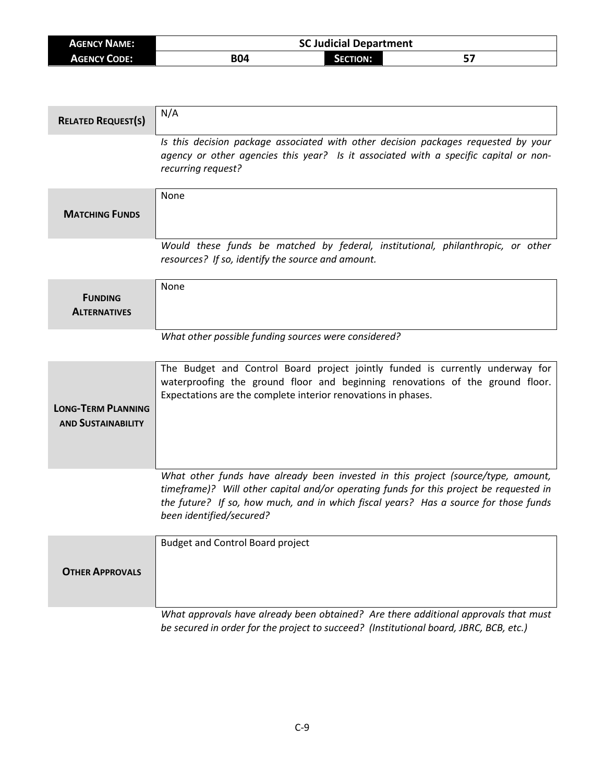| <b>AGENCY NAME:</b> | <b>SC Judicial Department</b> |          |  |
|---------------------|-------------------------------|----------|--|
| <b>AGENCY CODE:</b> | <b>B04</b>                    | SECTION: |  |

| <b>RELATED REQUEST(S)</b>                              | N/A                                                                                                                                                                                                                                                                                             |
|--------------------------------------------------------|-------------------------------------------------------------------------------------------------------------------------------------------------------------------------------------------------------------------------------------------------------------------------------------------------|
|                                                        | Is this decision package associated with other decision packages requested by your<br>agency or other agencies this year? Is it associated with a specific capital or non-<br>recurring request?                                                                                                |
| <b>MATCHING FUNDS</b>                                  | None                                                                                                                                                                                                                                                                                            |
|                                                        | Would these funds be matched by federal, institutional, philanthropic, or other<br>resources? If so, identify the source and amount.                                                                                                                                                            |
| <b>FUNDING</b><br><b>ALTERNATIVES</b>                  | None                                                                                                                                                                                                                                                                                            |
|                                                        | What other possible funding sources were considered?                                                                                                                                                                                                                                            |
| <b>LONG-TERM PLANNING</b><br><b>AND SUSTAINABILITY</b> | The Budget and Control Board project jointly funded is currently underway for<br>waterproofing the ground floor and beginning renovations of the ground floor.<br>Expectations are the complete interior renovations in phases.                                                                 |
|                                                        | What other funds have already been invested in this project (source/type, amount,<br>timeframe)? Will other capital and/or operating funds for this project be requested in<br>the future? If so, how much, and in which fiscal years? Has a source for those funds<br>been identified/secured? |
| <b>OTHER APPROVALS</b>                                 | <b>Budget and Control Board project</b>                                                                                                                                                                                                                                                         |
|                                                        | What approvals have already been obtained? Are there additional approvals that must<br>be secured in order for the project to succeed? (Institutional board, JBRC, BCB, etc.)                                                                                                                   |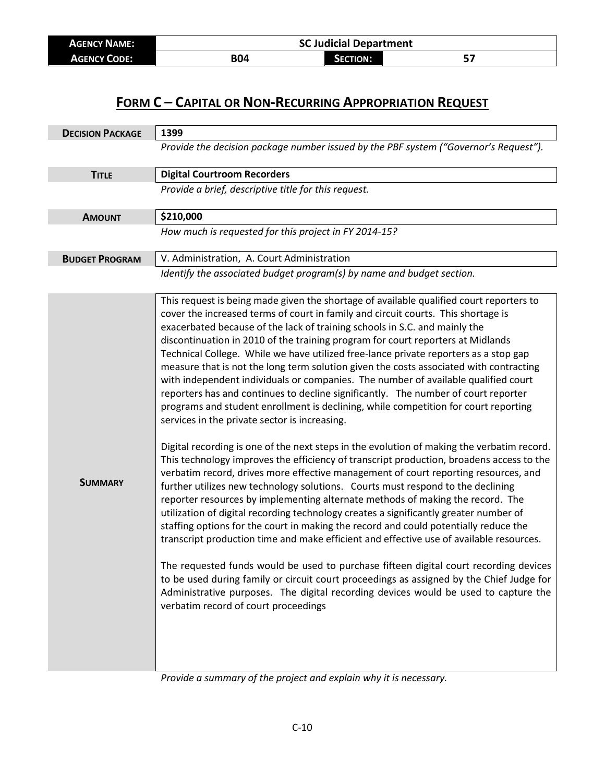| <b>AGENCY NAME:</b> | <b>SC Judicial Department</b> |                 |     |
|---------------------|-------------------------------|-----------------|-----|
| <b>AGENCY CODE:</b> | <b>B04</b>                    | <b>SECTION:</b> | ، ب |

| <b>DECISION PACKAGE</b> | 1399                                                                                                                                                                                                                                                                                                                                                                                                                                                                                                                                                                                                                                                                                                                                                                                                                                                                                                                                                                                                                                                                                                                                                                                                                                                                                                                                                                                                                                                                                                                                                                                                                                                                                                                                                                                                                                                                                                      |
|-------------------------|-----------------------------------------------------------------------------------------------------------------------------------------------------------------------------------------------------------------------------------------------------------------------------------------------------------------------------------------------------------------------------------------------------------------------------------------------------------------------------------------------------------------------------------------------------------------------------------------------------------------------------------------------------------------------------------------------------------------------------------------------------------------------------------------------------------------------------------------------------------------------------------------------------------------------------------------------------------------------------------------------------------------------------------------------------------------------------------------------------------------------------------------------------------------------------------------------------------------------------------------------------------------------------------------------------------------------------------------------------------------------------------------------------------------------------------------------------------------------------------------------------------------------------------------------------------------------------------------------------------------------------------------------------------------------------------------------------------------------------------------------------------------------------------------------------------------------------------------------------------------------------------------------------------|
|                         | Provide the decision package number issued by the PBF system ("Governor's Request").                                                                                                                                                                                                                                                                                                                                                                                                                                                                                                                                                                                                                                                                                                                                                                                                                                                                                                                                                                                                                                                                                                                                                                                                                                                                                                                                                                                                                                                                                                                                                                                                                                                                                                                                                                                                                      |
| <b>TITLE</b>            | <b>Digital Courtroom Recorders</b>                                                                                                                                                                                                                                                                                                                                                                                                                                                                                                                                                                                                                                                                                                                                                                                                                                                                                                                                                                                                                                                                                                                                                                                                                                                                                                                                                                                                                                                                                                                                                                                                                                                                                                                                                                                                                                                                        |
|                         | Provide a brief, descriptive title for this request.                                                                                                                                                                                                                                                                                                                                                                                                                                                                                                                                                                                                                                                                                                                                                                                                                                                                                                                                                                                                                                                                                                                                                                                                                                                                                                                                                                                                                                                                                                                                                                                                                                                                                                                                                                                                                                                      |
| <b>AMOUNT</b>           | \$210,000                                                                                                                                                                                                                                                                                                                                                                                                                                                                                                                                                                                                                                                                                                                                                                                                                                                                                                                                                                                                                                                                                                                                                                                                                                                                                                                                                                                                                                                                                                                                                                                                                                                                                                                                                                                                                                                                                                 |
|                         | How much is requested for this project in FY 2014-15?                                                                                                                                                                                                                                                                                                                                                                                                                                                                                                                                                                                                                                                                                                                                                                                                                                                                                                                                                                                                                                                                                                                                                                                                                                                                                                                                                                                                                                                                                                                                                                                                                                                                                                                                                                                                                                                     |
| <b>BUDGET PROGRAM</b>   | V. Administration, A. Court Administration                                                                                                                                                                                                                                                                                                                                                                                                                                                                                                                                                                                                                                                                                                                                                                                                                                                                                                                                                                                                                                                                                                                                                                                                                                                                                                                                                                                                                                                                                                                                                                                                                                                                                                                                                                                                                                                                |
|                         | Identify the associated budget program(s) by name and budget section.                                                                                                                                                                                                                                                                                                                                                                                                                                                                                                                                                                                                                                                                                                                                                                                                                                                                                                                                                                                                                                                                                                                                                                                                                                                                                                                                                                                                                                                                                                                                                                                                                                                                                                                                                                                                                                     |
| <b>SUMMARY</b>          | This request is being made given the shortage of available qualified court reporters to<br>cover the increased terms of court in family and circuit courts. This shortage is<br>exacerbated because of the lack of training schools in S.C. and mainly the<br>discontinuation in 2010 of the training program for court reporters at Midlands<br>Technical College. While we have utilized free-lance private reporters as a stop gap<br>measure that is not the long term solution given the costs associated with contracting<br>with independent individuals or companies. The number of available qualified court<br>reporters has and continues to decline significantly. The number of court reporter<br>programs and student enrollment is declining, while competition for court reporting<br>services in the private sector is increasing.<br>Digital recording is one of the next steps in the evolution of making the verbatim record.<br>This technology improves the efficiency of transcript production, broadens access to the<br>verbatim record, drives more effective management of court reporting resources, and<br>further utilizes new technology solutions. Courts must respond to the declining<br>reporter resources by implementing alternate methods of making the record. The<br>utilization of digital recording technology creates a significantly greater number of<br>staffing options for the court in making the record and could potentially reduce the<br>transcript production time and make efficient and effective use of available resources.<br>The requested funds would be used to purchase fifteen digital court recording devices<br>to be used during family or circuit court proceedings as assigned by the Chief Judge for<br>Administrative purposes. The digital recording devices would be used to capture the<br>verbatim record of court proceedings |

*Provide a summary of the project and explain why it is necessary.*